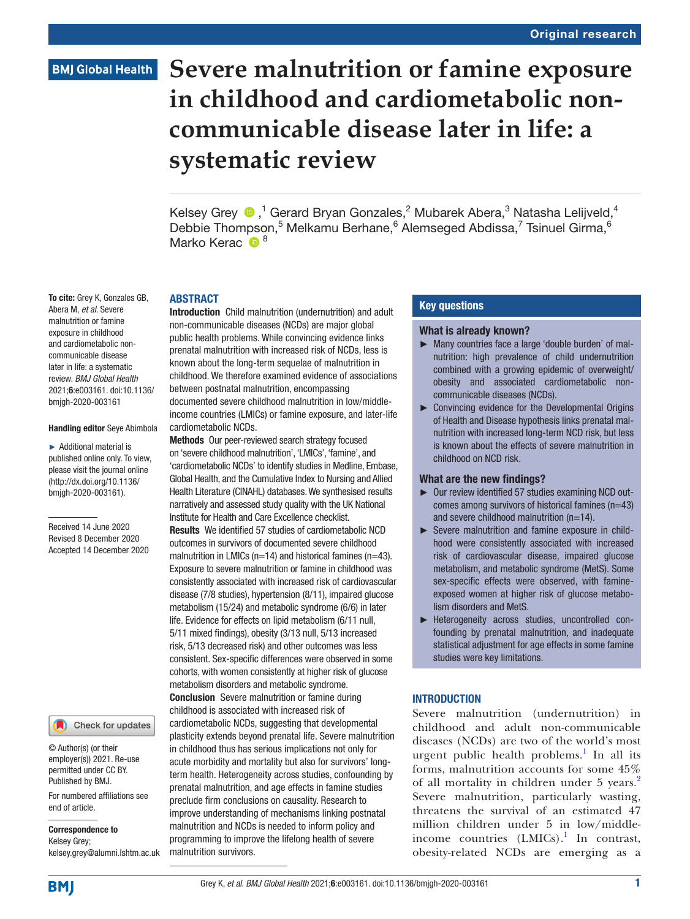# **Severe malnutrition or famine exposure in childhood and cardiometabolic noncommunicable disease later in life: a systematic review**

KelseyGrey  $\bigcirc$ ,<sup>1</sup> Gerard Bryan Gonzales,<sup>2</sup> Mubarek Abera,<sup>3</sup> Natasha Lelijveld,<sup>4</sup> Debbie Thompson,<sup>5</sup> Melkamu Berhane,<sup>6</sup> Alemseged Abdissa,<sup>7</sup> Tsinuel Girma,<sup>6</sup> Marko Kerac  $\mathbf{D}^8$ 

#### ABSTRACT

Introduction Child malnutrition (undernutrition) and adult non-communicable diseases (NCDs) are major global public health problems. While convincing evidence links prenatal malnutrition with increased risk of NCDs, less is known about the long-term sequelae of malnutrition in childhood. We therefore examined evidence of associations between postnatal malnutrition, encompassing documented severe childhood malnutrition in low/middleincome countries (LMICs) or famine exposure, and later-life cardiometabolic NCDs.

Methods Our peer-reviewed search strategy focused on 'severe childhood malnutrition', 'LMICs', 'famine', and 'cardiometabolic NCDs' to identify studies in Medline, Embase, Global Health, and the Cumulative Index to Nursing and Allied Health Literature (CINAHL) databases. We synthesised results narratively and assessed study quality with the UK National Institute for Health and Care Excellence checklist. Results We identified 57 studies of cardiometabolic NCD outcomes in survivors of documented severe childhood malnutrition in LMICs ( $n=14$ ) and historical famines ( $n=43$ ). Exposure to severe malnutrition or famine in childhood was consistently associated with increased risk of cardiovascular disease (7/8 studies), hypertension (8/11), impaired glucose metabolism (15/24) and metabolic syndrome (6/6) in later life. Evidence for effects on lipid metabolism (6/11 null, 5/11 mixed findings), obesity (3/13 null, 5/13 increased risk, 5/13 decreased risk) and other outcomes was less consistent. Sex-specific differences were observed in some cohorts, with women consistently at higher risk of glucose metabolism disorders and metabolic syndrome. Conclusion Severe malnutrition or famine during childhood is associated with increased risk of cardiometabolic NCDs, suggesting that developmental plasticity extends beyond prenatal life. Severe malnutrition in childhood thus has serious implications not only for acute morbidity and mortality but also for survivors' longterm health. Heterogeneity across studies, confounding by

prenatal malnutrition, and age effects in famine studies preclude firm conclusions on causality. Research to improve understanding of mechanisms linking postnatal malnutrition and NCDs is needed to inform policy and programming to improve the lifelong health of severe malnutrition survivors.

#### Key questions

#### What is already known?

- ► Many countries face a large 'double burden' of malnutrition: high prevalence of child undernutrition combined with a growing epidemic of overweight/ obesity and associated cardiometabolic noncommunicable diseases (NCDs).
- ► Convincing evidence for the Developmental Origins of Health and Disease hypothesis links prenatal malnutrition with increased long-term NCD risk, but less is known about the effects of severe malnutrition in childhood on NCD risk.

#### What are the new findings?

- ► Our review identified 57 studies examining NCD outcomes among survivors of historical famines  $(n=43)$ and severe childhood malnutrition (n=14).
- ► Severe malnutrition and famine exposure in childhood were consistently associated with increased risk of cardiovascular disease, impaired glucose metabolism, and metabolic syndrome (MetS). Some sex-specific effects were observed, with famineexposed women at higher risk of glucose metabolism disorders and MetS.
- ► Heterogeneity across studies, uncontrolled confounding by prenatal malnutrition, and inadequate statistical adjustment for age effects in some famine studies were key limitations.

#### **INTRODUCTION**

Severe malnutrition (undernutrition) in childhood and adult non-communicable diseases (NCDs) are two of the world's most urgent public health problems.<sup>[1](#page-14-0)</sup> In all its forms, malnutrition accounts for some 45% of all mortality in children under 5 years.<sup>[2](#page-14-1)</sup> Severe malnutrition, particularly wasting, threatens the survival of an estimated 47 million children under 5 in low/middle-income countries (LMICs).<sup>[1](#page-14-0)</sup> In contrast, obesity-related NCDs are emerging as a

Abera M, *et al*. Severe malnutrition or famine exposure in childhood and cardiometabolic noncommunicable disease later in life: a systematic review. *BMJ Global Health* 2021;6:e003161. doi:10.1136/ bmjgh-2020-003161

To cite: Grey K, Gonzales GB,

#### Handling editor Seye Abimbola

► Additional material is published online only. To view, please visit the journal online ([http://dx.doi.org/10.1136/](http://dx.doi.org/10.1136/bmjgh-2020-003161) [bmjgh-2020-003161\)](http://dx.doi.org/10.1136/bmjgh-2020-003161).

Received 14 June 2020 Revised 8 December 2020 Accepted 14 December 2020



© Author(s) (or their employer(s)) 2021. Re-use permitted under CC BY. Published by BMJ.

For numbered affiliations see end of article.

Correspondence to

Kelsey Grey; kelsey.grey@alumni.lshtm.ac.uk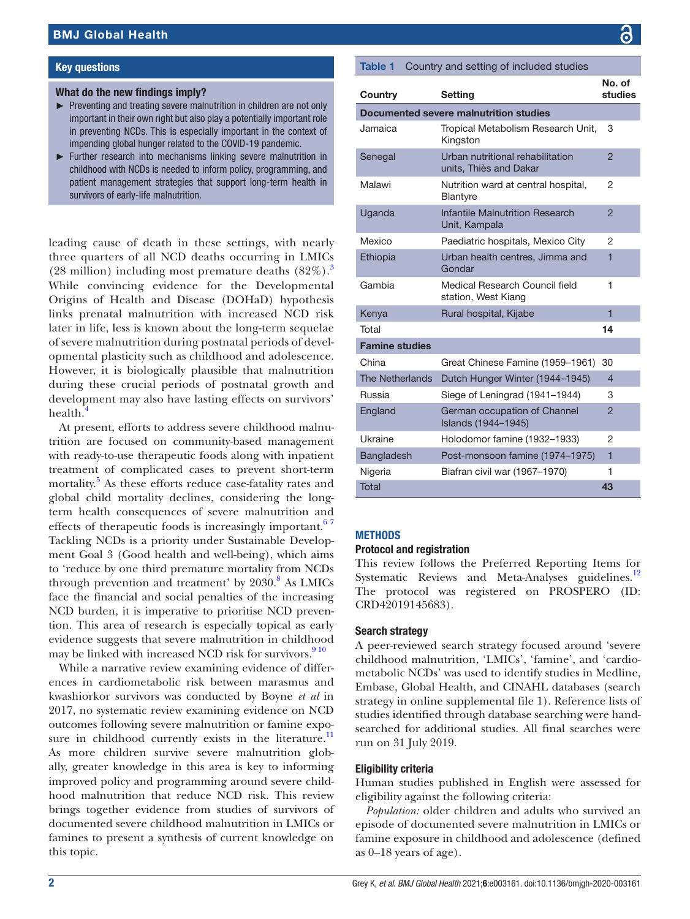#### Key questions

#### What do the new findings imply?

- ► Preventing and treating severe malnutrition in children are not only important in their own right but also play a potentially important role in preventing NCDs. This is especially important in the context of impending global hunger related to the COVID-19 pandemic.
- ► Further research into mechanisms linking severe malnutrition in childhood with NCDs is needed to inform policy, programming, and patient management strategies that support long-term health in survivors of early-life malnutrition.

leading cause of death in these settings, with nearly three quarters of all NCD deaths occurring in LMICs (28 million) including most premature deaths  $(82\%)$ .<sup>[3](#page-14-2)</sup> While convincing evidence for the Developmental Origins of Health and Disease (DOHaD) hypothesis links prenatal malnutrition with increased NCD risk later in life, less is known about the long-term sequelae of severe malnutrition during postnatal periods of developmental plasticity such as childhood and adolescence. However, it is biologically plausible that malnutrition during these crucial periods of postnatal growth and development may also have lasting effects on survivors' health.<sup>[4](#page-14-3)</sup>

At present, efforts to address severe childhood malnutrition are focused on community-based management with ready-to-use therapeutic foods along with inpatient treatment of complicated cases to prevent short-term mortality.<sup>5</sup> As these efforts reduce case-fatality rates and global child mortality declines, considering the longterm health consequences of severe malnutrition and effects of therapeutic foods is increasingly important.<sup>67</sup> Tackling NCDs is a priority under Sustainable Development Goal 3 (Good health and well-being), which aims to 'reduce by one third premature mortality from NCDs through prevention and treatment' by  $2030$ .<sup>[8](#page-14-6)</sup> As LMICs face the financial and social penalties of the increasing NCD burden, it is imperative to prioritise NCD prevention. This area of research is especially topical as early evidence suggests that severe malnutrition in childhood may be linked with increased NCD risk for survivors.<sup>910</sup>

While a narrative review examining evidence of differences in cardiometabolic risk between marasmus and kwashiorkor survivors was conducted by Boyne *et al* in 2017, no systematic review examining evidence on NCD outcomes following severe malnutrition or famine expo-sure in childhood currently exists in the literature.<sup>[11](#page-14-8)</sup> As more children survive severe malnutrition globally, greater knowledge in this area is key to informing improved policy and programming around severe childhood malnutrition that reduce NCD risk. This review brings together evidence from studies of survivors of documented severe childhood malnutrition in LMICs or famines to present a synthesis of current knowledge on this topic.

<span id="page-1-0"></span>

| Table 1                | Country and setting of included studies                    |                   |
|------------------------|------------------------------------------------------------|-------------------|
| Country                | <b>Setting</b>                                             | No. of<br>studies |
|                        | Documented severe malnutrition studies                     |                   |
| Jamaica                | Tropical Metabolism Research Unit,<br>Kingston             | 3                 |
| Senegal                | Urban nutritional rehabilitation<br>units, Thiès and Dakar | $\overline{2}$    |
| Malawi                 | Nutrition ward at central hospital,<br>Blantyre            | $\overline{2}$    |
| Uganda                 | Infantile Malnutrition Research<br>Unit, Kampala           | $\overline{2}$    |
| Mexico                 | Paediatric hospitals, Mexico City                          | 2                 |
| Ethiopia               | Urban health centres, Jimma and<br>Gondar                  | 1                 |
| Gambia                 | Medical Research Council field<br>station, West Kiang      | 1                 |
| Kenya                  | Rural hospital, Kijabe                                     | 1                 |
| Total                  |                                                            | 14                |
| <b>Famine studies</b>  |                                                            |                   |
| China                  | Great Chinese Famine (1959-1961)                           | 30                |
| <b>The Netherlands</b> | Dutch Hunger Winter (1944-1945)                            | $\overline{4}$    |
| Russia                 | Siege of Leningrad (1941–1944)                             | 3                 |
| England                | German occupation of Channel<br>Islands (1944-1945)        | $\overline{2}$    |
| Ukraine                | Holodomor famine (1932-1933)                               | 2                 |
| Bangladesh             | Post-monsoon famine (1974-1975)                            | 1                 |
| Nigeria                | Biafran civil war (1967-1970)                              | 1                 |
| <b>Total</b>           |                                                            | 43                |

#### **METHODS**

#### Protocol and registration

This review follows the Preferred Reporting Items for Systematic Reviews and Meta-Analyses guidelines.<sup>[12](#page-14-9)</sup> The protocol was registered on PROSPERO (ID: CRD42019145683).

#### Search strategy

A peer-reviewed search strategy focused around 'severe childhood malnutrition, 'LMICs', 'famine', and 'cardiometabolic NCDs' was used to identify studies in Medline, Embase, Global Health, and CINAHL databases (search strategy in [online supplemental file 1\)](https://dx.doi.org/10.1136/bmjgh-2020-003161). Reference lists of studies identified through database searching were handsearched for additional studies. All final searches were run on 31 July 2019.

#### Eligibility criteria

Human studies published in English were assessed for eligibility against the following criteria:

*Population:* older children and adults who survived an episode of documented severe malnutrition in LMICs or famine exposure in childhood and adolescence (defined as 0–18 years of age).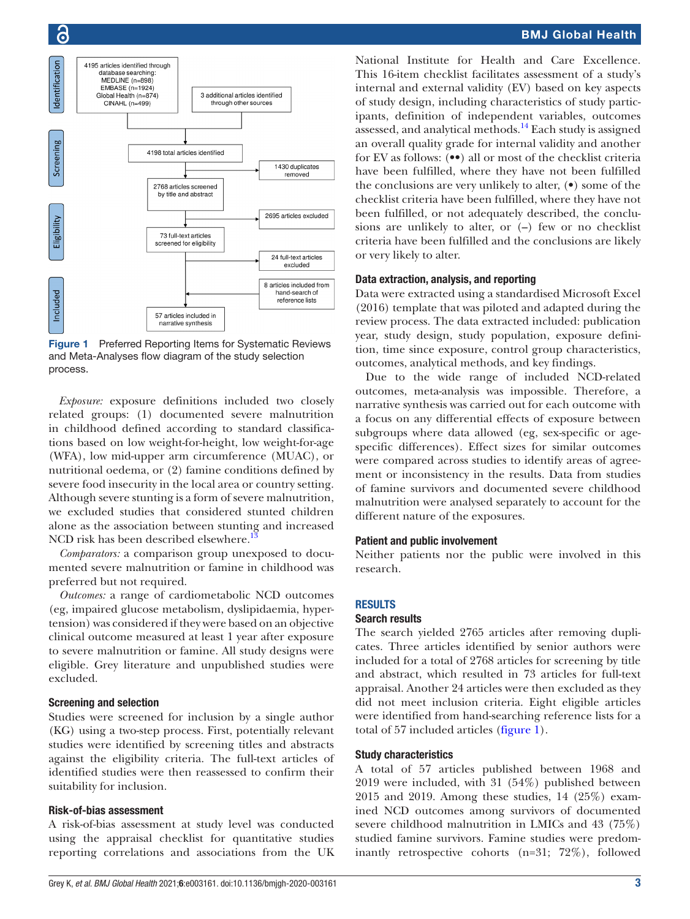

<span id="page-2-0"></span>Figure 1 Preferred Reporting Items for Systematic Reviews and Meta-Analyses flow diagram of the study selection process.

*Exposure:* exposure definitions included two closely related groups: (1) documented severe malnutrition in childhood defined according to standard classifications based on low weight-for-height, low weight-for-age (WFA), low mid-upper arm circumference (MUAC), or nutritional oedema, or (2) famine conditions defined by severe food insecurity in the local area or country setting. Although severe stunting is a form of severe malnutrition, we excluded studies that considered stunted children alone as the association between stunting and increased NCD risk has been described elsewhere.<sup>1</sup>

*Comparators:* a comparison group unexposed to documented severe malnutrition or famine in childhood was preferred but not required.

*Outcomes:* a range of cardiometabolic NCD outcomes (eg, impaired glucose metabolism, dyslipidaemia, hypertension) was considered if they were based on an objective clinical outcome measured at least 1 year after exposure to severe malnutrition or famine. All study designs were eligible. Grey literature and unpublished studies were excluded.

#### Screening and selection

Studies were screened for inclusion by a single author (KG) using a two-step process. First, potentially relevant studies were identified by screening titles and abstracts against the eligibility criteria. The full-text articles of identified studies were then reassessed to confirm their suitability for inclusion.

#### Risk-of-bias assessment

A risk-of-bias assessment at study level was conducted using the appraisal checklist for quantitative studies reporting correlations and associations from the UK

National Institute for Health and Care Excellence. This 16-item checklist facilitates assessment of a study's internal and external validity (EV) based on key aspects of study design, including characteristics of study participants, definition of independent variables, outcomes assessed, and analytical methods[.14](#page-14-11) Each study is assigned an overall quality grade for internal validity and another for EV as follows: (••) all or most of the checklist criteria have been fulfilled, where they have not been fulfilled the conclusions are very unlikely to alter, (•) some of the checklist criteria have been fulfilled, where they have not been fulfilled, or not adequately described, the conclusions are unlikely to alter, or (**–**) few or no checklist criteria have been fulfilled and the conclusions are likely or very likely to alter.

#### Data extraction, analysis, and reporting

Data were extracted using a standardised Microsoft Excel (2016) template that was piloted and adapted during the review process. The data extracted included: publication year, study design, study population, exposure definition, time since exposure, control group characteristics, outcomes, analytical methods, and key findings.

Due to the wide range of included NCD-related outcomes, meta-analysis was impossible. Therefore, a narrative synthesis was carried out for each outcome with a focus on any differential effects of exposure between subgroups where data allowed (eg, sex-specific or agespecific differences). Effect sizes for similar outcomes were compared across studies to identify areas of agreement or inconsistency in the results. Data from studies of famine survivors and documented severe childhood malnutrition were analysed separately to account for the different nature of the exposures.

#### Patient and public involvement

Neither patients nor the public were involved in this research.

#### **RESULTS**

#### Search results

The search yielded 2765 articles after removing duplicates. Three articles identified by senior authors were included for a total of 2768 articles for screening by title and abstract, which resulted in 73 articles for full-text appraisal. Another 24 articles were then excluded as they did not meet inclusion criteria. Eight eligible articles were identified from hand-searching reference lists for a total of 57 included articles [\(figure](#page-2-0) 1).

#### Study characteristics

A total of 57 articles published between 1968 and 2019 were included, with 31 (54%) published between 2015 and 2019. Among these studies, 14 (25%) examined NCD outcomes among survivors of documented severe childhood malnutrition in LMICs and 43 (75%) studied famine survivors. Famine studies were predominantly retrospective cohorts (n=31; 72%), followed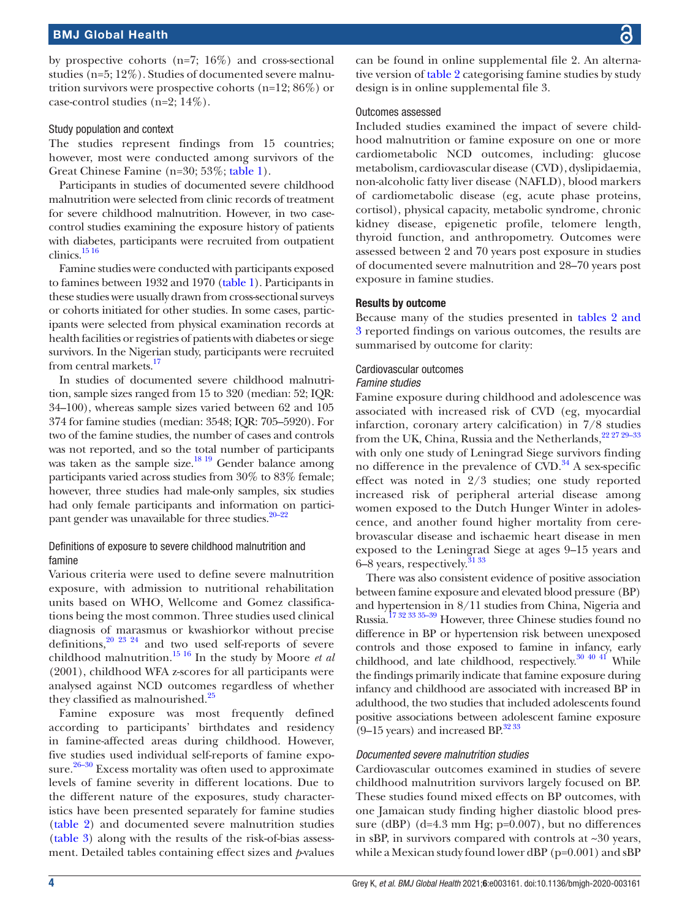by prospective cohorts  $(n=7; 16\%)$  and cross-sectional studies (n=5; 12%). Studies of documented severe malnutrition survivors were prospective cohorts (n=12; 86%) or case-control studies (n=2; 14%).

#### Study population and context

The studies represent findings from 15 countries; however, most were conducted among survivors of the Great Chinese Famine (n=30; 53%; [table](#page-1-0) 1).

Participants in studies of documented severe childhood malnutrition were selected from clinic records of treatment for severe childhood malnutrition. However, in two casecontrol studies examining the exposure history of patients with diabetes, participants were recruited from outpatient clinics[.15 16](#page-14-12)

Famine studies were conducted with participants exposed to famines between 1932 and 1970 [\(table](#page-1-0) 1). Participants in these studies were usually drawn from cross-sectional surveys or cohorts initiated for other studies. In some cases, participants were selected from physical examination records at health facilities or registries of patients with diabetes or siege survivors. In the Nigerian study, participants were recruited from central markets.<sup>17</sup>

In studies of documented severe childhood malnutrition, sample sizes ranged from 15 to 320 (median: 52; IQR: 34–100), whereas sample sizes varied between 62 and 105 374 for famine studies (median: 3548; IQR: 705–5920). For two of the famine studies, the number of cases and controls was not reported, and so the total number of participants was taken as the sample size. $18^{19}$  Gender balance among participants varied across studies from 30% to 83% female; however, three studies had male-only samples, six studies had only female participants and information on participant gender was unavailable for three studies.<sup>20–22</sup>

#### Definitions of exposure to severe childhood malnutrition and famine

Various criteria were used to define severe malnutrition exposure, with admission to nutritional rehabilitation units based on WHO, Wellcome and Gomez classifications being the most common. Three studies used clinical diagnosis of marasmus or kwashiorkor without precise definitions, $20\frac{23}{24}$  and two used self-reports of severe childhood malnutrition.[15 16](#page-14-12) In the study by Moore *et al* (2001), childhood WFA z-scores for all participants were analysed against NCD outcomes regardless of whether they classified as malnourished.<sup>25</sup>

Famine exposure was most frequently defined according to participants' birthdates and residency in famine-affected areas during childhood. However, five studies used individual self-reports of famine exposure.<sup>26-30</sup> Excess mortality was often used to approximate levels of famine severity in different locations. Due to the different nature of the exposures, study characteristics have been presented separately for famine studies ([table](#page-4-0) 2) and documented severe malnutrition studies ([table](#page-7-0) 3) along with the results of the risk-of-bias assessment. Detailed tables containing effect sizes and *p*-values

can be found in [online supplemental file 2](https://dx.doi.org/10.1136/bmjgh-2020-003161). An alternative version of [table](#page-4-0) 2 categorising famine studies by study design is in [online supplemental file 3.](https://dx.doi.org/10.1136/bmjgh-2020-003161)

#### Outcomes assessed

Included studies examined the impact of severe childhood malnutrition or famine exposure on one or more cardiometabolic NCD outcomes, including: glucose metabolism, cardiovascular disease (CVD), dyslipidaemia, non-alcoholic fatty liver disease (NAFLD), blood markers of cardiometabolic disease (eg, acute phase proteins, cortisol), physical capacity, metabolic syndrome, chronic kidney disease, epigenetic profile, telomere length, thyroid function, and anthropometry. Outcomes were assessed between 2 and 70 years post exposure in studies of documented severe malnutrition and 28–70 years post exposure in famine studies.

#### Results by outcome

Because many of the studies presented in tables [2 and](#page-4-0) [3](#page-4-0) reported findings on various outcomes, the results are summarised by outcome for clarity:

#### Cardiovascular outcomes

#### *Famine studies*

Famine exposure during childhood and adolescence was associated with increased risk of CVD (eg, myocardial infarction, coronary artery calcification) in 7/8 studies from the UK, China, Russia and the Netherlands,<sup>22 27 29-33</sup> with only one study of Leningrad Siege survivors finding no difference in the prevalence of  $CVD$ .<sup>34</sup> A sex-specific effect was noted in 2/3 studies; one study reported increased risk of peripheral arterial disease among women exposed to the Dutch Hunger Winter in adolescence, and another found higher mortality from cerebrovascular disease and ischaemic heart disease in men exposed to the Leningrad Siege at ages 9–15 years and 6–8 years, respectively. $3133$ 

There was also consistent evidence of positive association between famine exposure and elevated blood pressure (BP) and hypertension in 8/11 studies from China, Nigeria and Russia.<sup>17 32</sup> <sup>33 35–39</sup> However, three Chinese studies found no difference in BP or hypertension risk between unexposed controls and those exposed to famine in infancy, early childhood, and late childhood, respectively. $30\frac{40\frac{41}{1}}{W$ hile the findings primarily indicate that famine exposure during infancy and childhood are associated with increased BP in adulthood, the two studies that included adolescents found positive associations between adolescent famine exposure  $(9-15 \text{ years})$  and increased BP. $^{32\,33}$ 

#### *Documented severe malnutrition studies*

Cardiovascular outcomes examined in studies of severe childhood malnutrition survivors largely focused on BP. These studies found mixed effects on BP outcomes, with one Jamaican study finding higher diastolic blood pressure (dBP) (d=4.3 mm Hg; p=0.007), but no differences in sBP, in survivors compared with controls at ~30 years, while a Mexican study found lower dBP ( $p=0.001$ ) and sBP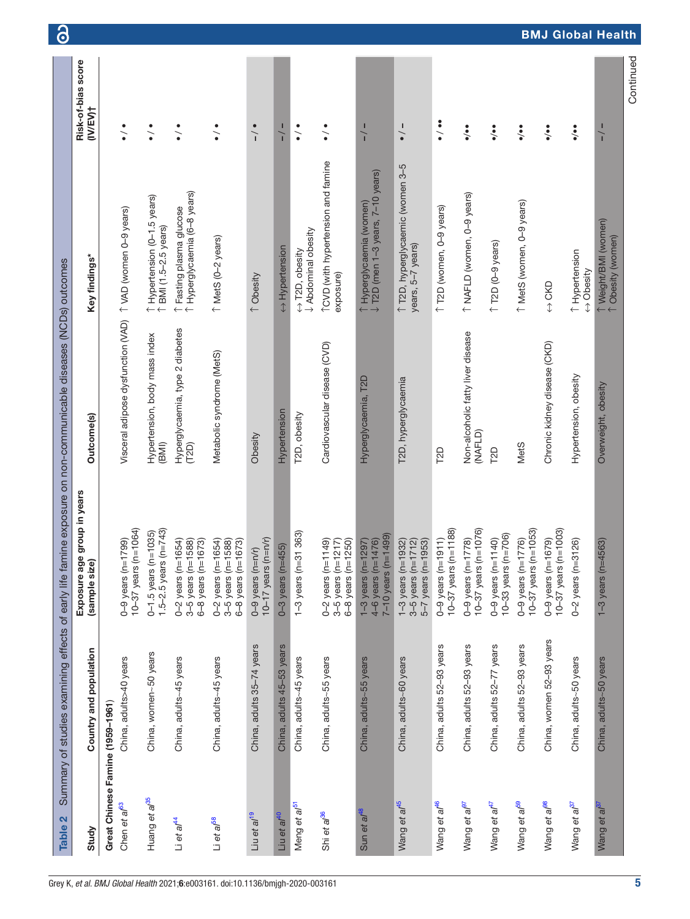<span id="page-4-0"></span>

| Table 2                          | Summary of studies examining effects of early life famin |                                                                                  | ne exposure on non-communicable diseases (NCDs) outcomes |                                                               | $\bullet$                                 |
|----------------------------------|----------------------------------------------------------|----------------------------------------------------------------------------------|----------------------------------------------------------|---------------------------------------------------------------|-------------------------------------------|
| Study                            | Country and population                                   | group in years<br>Exposure age<br>(sample size)                                  | Outcome(s)                                               | Key findings*                                                 | Risk-of-bias score<br>(IV/EV)†            |
| Great Chinese Famine (1959-1961) |                                                          |                                                                                  |                                                          |                                                               |                                           |
| Chen et al <sup>63</sup>         | China, adults>40 years                                   | $10-37$ years (n=1064)<br>$0-9$ years (n=1799)                                   | Visceral adipose dysfunction (VAD)                       | T VAD (women 0-9 years)                                       | $\frac{1}{\epsilon}$                      |
| Huang et al <sup>85</sup>        | China, women~50 years                                    | 1.5-2.5 years ( $n=743$ )<br>$0 - 1.5$ years (n=1035)                            | Hypertension, body mass index<br>(BM)                    | 1 Hypertension (0-1.5 years)<br>↑ BMI (1.5-2.5 years)         | $\frac{1}{\epsilon}$                      |
| $\Box$ et al <sup>44</sup>       | China, adults~45 years                                   | $0-2$ years (n=1654)<br>3-5 years (n=1588)<br>$6 - 8$ years (n=1673)             | Hyperglycaemia, type 2 diabetes<br>(T2D)                 | 1 Hyperglycaemia (6-8 years)<br>↑ Fasting plasma glucose      | $\ddot{\cdot}$                            |
| Li et al <sup>58</sup>           | China, adults~45 years                                   | $0 - 2$ years (n=1654)<br>$6 - 8$ years (n=1673)<br>$3 - 5$ years (n=1588)       | Metabolic syndrome (MetS)                                | T MetS (0-2 years)                                            | $\frac{1}{\bullet}$                       |
| Liu et al <sup>19</sup>          | China, adults 35-74 years                                | $10-17$ years (n=n/r)<br>$0-9$ years $(n=n/r)$                                   | Obesity                                                  | ↑ Obesity                                                     | $\frac{1}{1}$                             |
| Liu et al <sup>40</sup>          | China, adults 45-53 years                                | $0-3$ years (n=455)                                                              | Hypertension                                             | Hypertension                                                  | $-/-$                                     |
| Meng et a/ <sup>51</sup>         | China, adults~45 years                                   | 363)<br>$1-3$ years (n=31                                                        | T2D, obesity                                             | <b>Abdominal obesity</b><br>$\leftrightarrow$ T2D, obesity    | $\frac{1}{\epsilon}$                      |
| Shi et al <sup>36</sup>          | China, adults~55 years                                   | $0 - 2$ years (n=1149)<br>$3 - 5$ years (n=1217)<br>$6 - 8$ years ( $n = 1250$ ) | Cardiovascular disease (CVD)                             | TCVD (with hypertension and famine<br>exposure)               | $\frac{1}{\epsilon}$                      |
| Sun et al <sup>48</sup>          | China, adults~55 years                                   | $7 - 10$ years (n=1499)<br>$4-6$ years (n=1476)<br>$1 - 3$ years (n= $1297$ )    | Hyperglycaemia, T2D                                      | ↑ Hyperglycaemia (women)<br>↓ T2D (men 1–3 years, 7–10 years) | $\frac{1}{1}$                             |
| Wang et al <sup>45</sup>         | China, adults~60 years                                   | $5 - 7$ years ( $n = 1953$ )<br>$3 - 5$ years (n=1712)<br>$1 - 3$ years (n=1932) | T2D, hyperglycaemia                                      | 1 T2D, hyperglycaemic (women 3-5<br>years, 5-7 years)         | $\frac{1}{\bullet}$                       |
| Wang et al <sup>46</sup>         | China, adults 52-93 years                                | $10-37$ years (n=1188)<br>$0 - 9$ years (n=1911)                                 | <b>T2D</b>                                               | 1 T2D (women, 0-9 years)                                      | $\ddot{\bullet}$                          |
| Wang et al <sup>97</sup>         | China, adults 52-93 years                                | $10 - 37$ years (n= $1076$ )<br>$0 - 9$ years (n=1778)                           | Non-alcoholic fatty liver disease<br>(NAFLD)             | 1 NAFLD (women, 0-9 years)                                    | $\ddot{\cdot}$                            |
| Wang et al <sup>47</sup>         | China, adults 52-77 years                                | $10-33$ years (n=706)<br>$0 - 9$ years $(n = 1140)$                              | T <sub>2</sub> D                                         | $\uparrow$ T2D (0-9 years)                                    | $\ddot{\bullet}$                          |
| Wang et al <sup>59</sup>         | China, adults 52-93 years                                | $10 - 37$ years (n=1053)<br>$0 - 9$ years $(n = 1776)$                           | MetS                                                     | 1 MetS (women, 0-9 years)                                     | $\ddot{\bullet}$                          |
| Wang et al <sup>98</sup>         | China, women 52-93 years                                 | $10-37$ years (n=1003)<br>$0 - 9$ years (n=1679)                                 | Chronic kidney disease (CKD)                             | $\leftrightarrow$ CKD                                         | $\ddot{\bullet}$                          |
| Wang et al <sup>37</sup>         | China, adults~50 years                                   | 26)<br>$0-2$ years ( $n=31$                                                      | Hypertension, obesity                                    | ↑ Hypertension<br>$\leftrightarrow$ Obesity                   | $\ddot{\bullet}$                          |
| Wang et al <sup>37</sup>         | China, adults~50 years                                   | $1 - 3$ years (n=4563)                                                           | Overweight, obesity                                      | <sup>T</sup> Weight/BMI (women)<br>1 Obesity (women)          | <b>BMJ Global Health</b><br>$\frac{1}{1}$ |
|                                  |                                                          |                                                                                  |                                                          |                                                               | Continued                                 |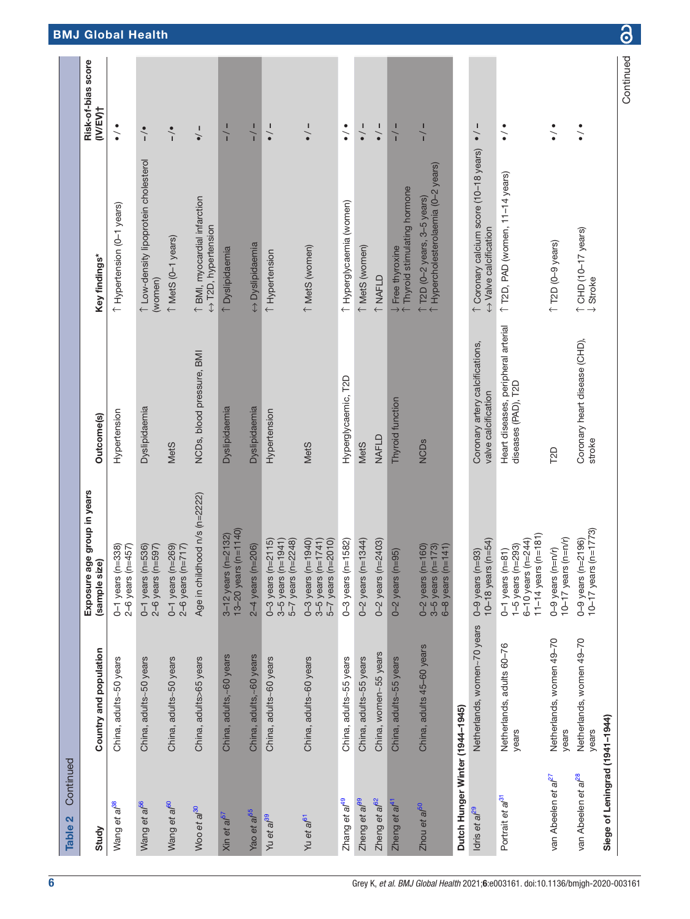| Continued<br>Table 2            |                                    |                                                                                                      |                                                            |                                                                     |                                |
|---------------------------------|------------------------------------|------------------------------------------------------------------------------------------------------|------------------------------------------------------------|---------------------------------------------------------------------|--------------------------------|
| Study                           | Country and population             | ge group in years<br>(sample size)<br>Exposure a                                                     | Outcome(s)                                                 | Key findings*                                                       | Risk-of-bias score<br>(IV/EV)† |
| Wang et al <sup>38</sup>        | China, adults~50 years             | $1 = 338$<br>$1 = 457$<br>$0 - 1$ years (n<br>2-6 years (n                                           | Hypertension                                               | T Hypertension (0-1 years)                                          | $\frac{1}{\epsilon}$           |
| Wang et al <sup>56</sup>        | China, adults~50 years             | $0-1$ years ( $n=536$ )<br>$2-6$ years (n=597)                                                       | Dyslipidaemia                                              | 1 Low-density lipoprotein cholesterol<br>(women)                    | $\frac{1}{1}$                  |
| Wang et al <sup>60</sup>        | China, adults~50 years             | $0-1$ years ( $n=269$ )<br>$2-6$ years (n=717)                                                       | <b>MetS</b>                                                | T MetS (0-1 years)                                                  | $\sim$                         |
| Woo et al <sup>30</sup>         | China, adults>65 years             | Age in childhood n/s (n=2222)                                                                        | NCDs, blood pressure, BMI                                  | 1 BMI, myocardial infarction<br>$\leftrightarrow$ T2D, hypertension | $\frac{1}{\bullet}$            |
| Xin et al <sup>5i</sup>         | China, adults,~60 years            | 13-20 years (n=1140)<br>$(n=2132)$<br>3-12 years                                                     | Dyslipidaemia                                              | ↑ Dyslipidaemia                                                     | $\frac{1}{1}$                  |
| Yao et al <sup>55</sup>         | China, adults,~60 years            | $2-4$ years (n= $206$ )                                                                              | Dyslipidaemia                                              | ← Dyslipidaemia                                                     | $\frac{1}{1}$                  |
| Yu et al <sup>39</sup>          | China, adults~60 years             | $0 - 3$ years (n= $2115$ )<br>$3-5$ years (n=1941)<br>$5 - 7$ years (n=2248)                         | Hypertension                                               | 1 Hypertension                                                      | $\frac{1}{\bullet}$            |
| Yu et al <sup>61</sup>          | China, adults~60 years             | $0 - 3$ years $(n = 1940)$<br>$n = 1741$<br>$5 - 7$ years (n=2010)<br>3-5 years (n                   | <b>MetS</b>                                                | 1 MetS (women)                                                      | $\frac{1}{\bullet}$            |
| Zhang et al <sup>49</sup>       | China, adults~55 years             | $n = 1582$<br>$0-3$ years (n                                                                         | Hyperglycaemic, T2D                                        | 1 Hyperglycaemia (women)                                            | $\frac{1}{\epsilon}$           |
| Zheng et a/ <sup>99</sup>       | China, adults~55 years             | $0 - 2$ years (n=1344)                                                                               | MetS                                                       | T MetS (women)                                                      | $\frac{1}{\bullet}$            |
| Zheng et al <sup>62</sup>       | China, women~55 years              | $0 - 2$ years (n=2403)                                                                               | NAFLD                                                      | ↑ NAFLD                                                             | $\frac{1}{\bullet}$            |
| Zheng et al <sup>4</sup>        | China, adults~55 years             | $1 = 95$<br>$0-2$ years (n                                                                           | Thyroid function                                           | Thyroid stimulating hormone<br>$\downarrow$ Free thyroxine          | $\frac{1}{1}$                  |
| Zhou et a/ <sup>50</sup>        | China, adults 45-60 years          | $0-2$ years (n=160)<br>$3-5$ years (n=173)<br>$n = 141$<br>6-8 years (n                              | <b>NCD<sub>s</sub></b>                                     | 1 Hypercholesterolaemia (0-2 years)<br>T2D (0-2 years, 3-5 years)   | $\frac{1}{1}$                  |
| Dutch Hunger Winter (1944-1945) |                                    |                                                                                                      |                                                            |                                                                     |                                |
| ldris et al <sup>29</sup>       | Netherlands, women~70 years        | 10-18 years ( $n=54$ )<br>$0-9$ years (n=93)                                                         | Coronary artery calcifications,<br>valve calcification     | 1 Coronary calcium score (10-18 years)<br>← Valve calcification     | $\frac{1}{\bullet}$            |
| Portrait et al <sup>31</sup>    | Netherlands, adults 60-76<br>years | 11-14 years ( $n=181$ )<br>$6 - 10$ years $(n = 244)$<br>$1-5$ years (n=293)<br>$0-1$ years $(n=81)$ | Heart diseases, peripheral arterial<br>diseases (PAD), T2D | T2D, PAD (women, 11-14 years)                                       | $\ddot{\bullet}$               |
| van Abeelen et al <sup>27</sup> | Netherlands, women 49-70<br>years  | 10-17 years ( $n=n/r$ )<br>$0-9$ years $(n=n/r)$                                                     | T2D                                                        | $\uparrow$ T2D (0-9 years)                                          | $\ddot{\cdot}$                 |
| van Abeelen et al <sup>28</sup> | Netherlands, women 49-70<br>years  | 10-17 years (n=1773)<br>$0 - 9$ years ( $n = 2196$ )                                                 | Coronary heart disease (CHD),<br>stroke                    | 1 CHD (10-17 years)<br>↓ Stroke                                     | $\ddot{\bullet}$               |
| Siege of Leningrad (1941-1944)  |                                    |                                                                                                      |                                                            |                                                                     | Continued                      |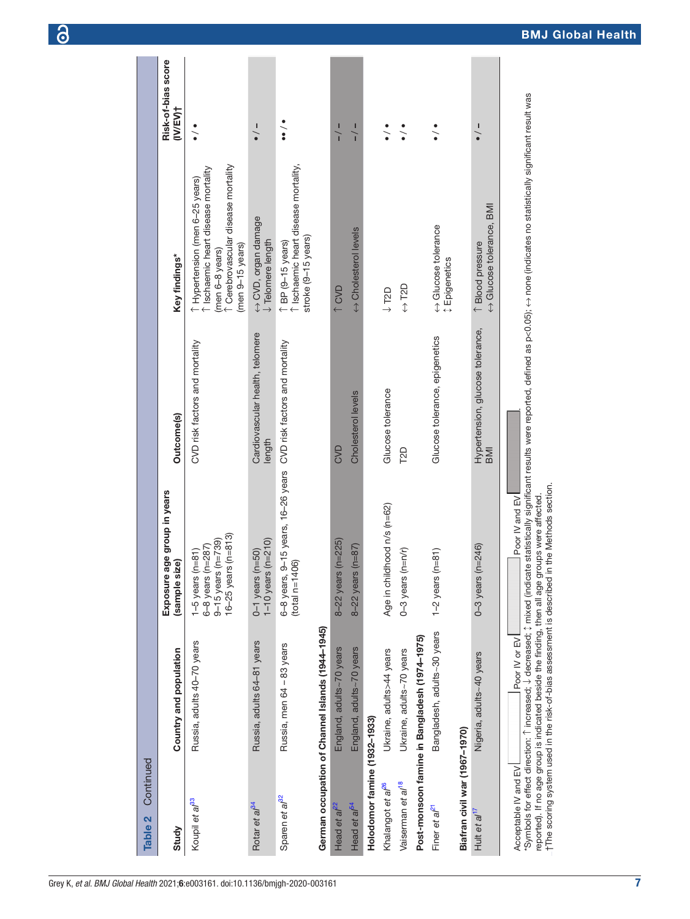| Continued<br>Table 2          |                                                                                                                                                                                        |                                                                                                |                                                |                                                                                                                                                                                                           |                                |
|-------------------------------|----------------------------------------------------------------------------------------------------------------------------------------------------------------------------------------|------------------------------------------------------------------------------------------------|------------------------------------------------|-----------------------------------------------------------------------------------------------------------------------------------------------------------------------------------------------------------|--------------------------------|
| Study                         | Country and population                                                                                                                                                                 | Exposure age group in years<br>(sample size)                                                   | Outcome(s)                                     | Key findings*                                                                                                                                                                                             | Risk-of-bias score<br>(IV/EV)† |
| Koupil et al <sup>33</sup>    | Russia, adults 40-70 years                                                                                                                                                             | $16 - 25$ years (n=813)<br>$9-15$ years (n=739)<br>$6 - 8$ years (n=287)<br>$1-5$ years (n=81) | CVD risk factors and mortality                 | T Cerebrovascular disease mortality<br>Ischaemic heart disease mortality<br>T Hypertension (men 6-25 years)<br>$(men 9-15 years)$<br>(men 6-8 years)                                                      | $\ddot{\cdot}$                 |
| Rotar et a/ <sup>34</sup>     | Russia, adults 64-81 years                                                                                                                                                             | $1 - 10$ years ( $n = 210$ )<br>$0-1$ years $(n=50)$                                           | Cardiovascular health, telomere<br>length      | ← CVD, organ damage<br><b>J</b> Telomere length                                                                                                                                                           | ı                              |
| Sparen et al <sup>32</sup>    | Russia, men 64 - 83 years                                                                                                                                                              | $9-15$ years, $16-26$ years<br>$(total$ $n=1406)$<br>6-8 years,                                | CVD risk factors and mortality                 | Ischaemic heart disease mortality,<br>stroke (9-15 years)<br>$\uparrow$ BP (9-15 years)                                                                                                                   | $\ddot{\bullet}$               |
|                               | German occupation of Channel Islands (1944-1945)                                                                                                                                       |                                                                                                |                                                |                                                                                                                                                                                                           |                                |
| Head et $a^{p2}$              | England, adults~70 years                                                                                                                                                               | $8 - 22$ years (n=225)                                                                         | CVD                                            | 1 CVD                                                                                                                                                                                                     | $\frac{1}{1}$                  |
| Head et al <sup>64</sup>      | England, adults~70 years                                                                                                                                                               | 8-22 years ( $n = 87$ )                                                                        | Cholesterol levels                             | A Cholesterol levels                                                                                                                                                                                      | $\frac{1}{1}$                  |
| Holodomor famine (1932-1933)  |                                                                                                                                                                                        |                                                                                                |                                                |                                                                                                                                                                                                           |                                |
| Khalangot et al <sup>e6</sup> | Ukraine, adults>44 years                                                                                                                                                               | Age in childhood n/s (n=62)                                                                    | Glucose tolerance                              | $\downarrow$ T2D                                                                                                                                                                                          | $\ddot{\bullet}$               |
| Vaiserman et al <sup>18</sup> | Ukraine, adults~70 years                                                                                                                                                               | $0-3$ years $(n=n/r)$                                                                          | T <sub>2D</sub>                                | $\leftrightarrow$ T2D                                                                                                                                                                                     | $\frac{1}{\epsilon}$           |
|                               | Post-monsoon famine in Bangladesh (1974-1975)                                                                                                                                          |                                                                                                |                                                |                                                                                                                                                                                                           |                                |
| Finer et al <sup>21</sup>     | Bangladesh, adults~30 years                                                                                                                                                            | $(n=81)$<br>$1-2$ years                                                                        | Glucose tolerance, epigenetics                 | educose tolerance<br><b>↓ Epigenetics</b>                                                                                                                                                                 | $\ddot{\bullet}$               |
| Biafran civil war (1967-1970) |                                                                                                                                                                                        |                                                                                                |                                                |                                                                                                                                                                                                           |                                |
| Hult et al <sup>1</sup>       | Nigeria, adults~40 years                                                                                                                                                               | $(n=246)$<br>$0-3$ years                                                                       | Hypertension, glucose tolerance,<br><b>IMB</b> | Alucose tolerance, BMI<br>1 Blood pressure                                                                                                                                                                | $\frac{1}{\bullet}$            |
| Acceptable IV and EV          | reported). If no age group is indicated beside the finding, then all age groups were affected<br>tThe scoring system used in the risk-of-bias assessment is described<br>Poor IV or EV | in the Methods section.<br><b>Poor IV and EV</b>                                               |                                                | °Symbols for effect direction: ↑ increased; ↓ decreased; ↑ mixed (indicate statistically significant results were reported, defined as p<0.05); ↔ none (indicates no statistically significant result was |                                |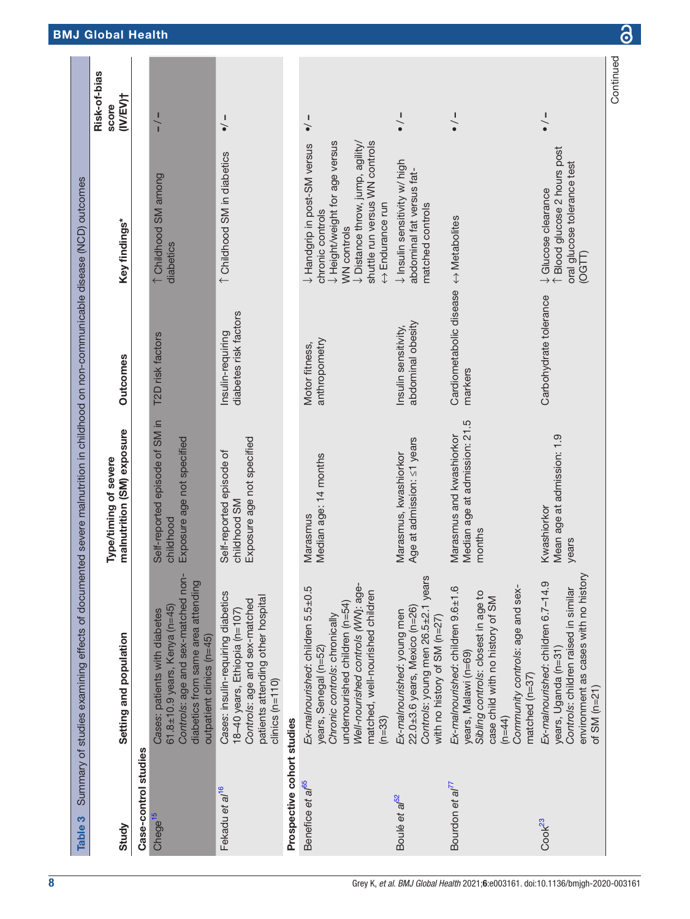<span id="page-7-0"></span>

| Table 3                      | Summary of studies examining effects of documen                                                                                                                                                                     | ted severe mainutrition in childhood on non-communicable disease (NCD) outcomes |                                                                  |                                                                                                                                                                                                      |                                   |
|------------------------------|---------------------------------------------------------------------------------------------------------------------------------------------------------------------------------------------------------------------|---------------------------------------------------------------------------------|------------------------------------------------------------------|------------------------------------------------------------------------------------------------------------------------------------------------------------------------------------------------------|-----------------------------------|
| Study                        | Setting and population                                                                                                                                                                                              | malnutrition (SM) exposure<br>Type/timing of severe                             | <b>Outcomes</b>                                                  | Key findings*                                                                                                                                                                                        | Risk-of-bias<br>(IV/EV)†<br>score |
| Case-control studies         |                                                                                                                                                                                                                     |                                                                                 |                                                                  |                                                                                                                                                                                                      |                                   |
| Chege <sup>15</sup>          | Controls: age and sex-matched non-<br>diabetics from same area attending<br>61.8 $\pm$ 10.9 years, Kenya (n=45)<br>Cases: patients with diabetes<br>outpatient clinics (n=45)                                       | Self-reported episode of SM in<br>Exposure age not specified<br>childhood       | T2D risk factors                                                 | ↑ Childhood SM among<br>diabetics                                                                                                                                                                    | $\frac{1}{1}$                     |
| Fekadu et al <sup>16</sup>   | Cases: insulin-requiring diabetics<br>patients attending other hospital<br>Controls: age and sex-matched<br>18-40 years, Ethiopia (n=107)<br>$clinics$ ( $n=110$ )                                                  | Exposure age not specified<br>Self-reported episode of<br>childhood SM          | diabetes risk factors<br>Insulin-requiring                       | ↑ Childhood SM in diabetics                                                                                                                                                                          | $\frac{1}{\bullet}$               |
| Prospective cohort studies   |                                                                                                                                                                                                                     |                                                                                 |                                                                  |                                                                                                                                                                                                      |                                   |
| Benefice et a/ <sup>65</sup> | Well-nourished controls (WN): age-<br>Ex-malnourished: children 5.5±0.5<br>matched, well-nourished children<br>undernourished children (n=54)<br>Chronic controls: chronically<br>years, Senegal (n=52)<br>$(n=33)$ | Median age: 14 months<br>Marasmus                                               | anthropometry<br>Motor fitness,                                  | U Height/weight for age versus<br>shuttle run versus WN controls<br>$\downarrow$ Distance throw, jump, agility/<br>Utandgrip in post-SM versus<br>← Endurance run<br>chronic controls<br>WN controls | $\frac{1}{\bullet}$               |
| Boulé et a <sup>f52</sup>    | Controls: young men 26.5±2.1 years<br>22.0±3.6 years, Mexico (n=26)<br>Ex-malnourished: young men<br>with no history of SM (n=27)                                                                                   | Age at admission: <1 years<br>Marasmus, kwashiorkor                             | abdominal obesity<br>Insulin sensitivity,                        | $\downarrow$ Insulin sensitivity w/ high<br>abdominal fat versus fat-<br>matched controls                                                                                                            | $\frac{1}{\bullet}$               |
| Bourdon et al <sup>77</sup>  | Community controls: age and sex-<br>Ex-malnourished: children 9.6±1.6<br>Sibling controls: closest in age to<br>case child with no history of SM<br>years, Malawi (n=69)<br>$matched(n=37)$<br>$(n=44)$             | Median age at admission: 21.5<br>Marasmus and kwashiorkor<br>months             | Cardiometabolic disease $\leftrightarrow$ Metabolites<br>markers |                                                                                                                                                                                                      | $\frac{1}{\bullet}$               |
| Cook <sup>23</sup>           | environment as cases with no history<br>Ex-malnourished: children 6.7-14.9<br>Controls: children raised in similar<br>years, Uganda (n=31)<br>of SM $(n=21)$                                                        | Mean age at admission: 1.9<br>Kwashiorkor<br>years                              | Carbohydrate tolerance                                           | ↑ Blood glucose 2 hours post<br>oral glucose tolerance test<br><b>J</b> Glucose clearance<br>(OGTT)                                                                                                  | $\frac{1}{\bullet}$               |
|                              |                                                                                                                                                                                                                     |                                                                                 |                                                                  |                                                                                                                                                                                                      | Continued                         |

 $\delta$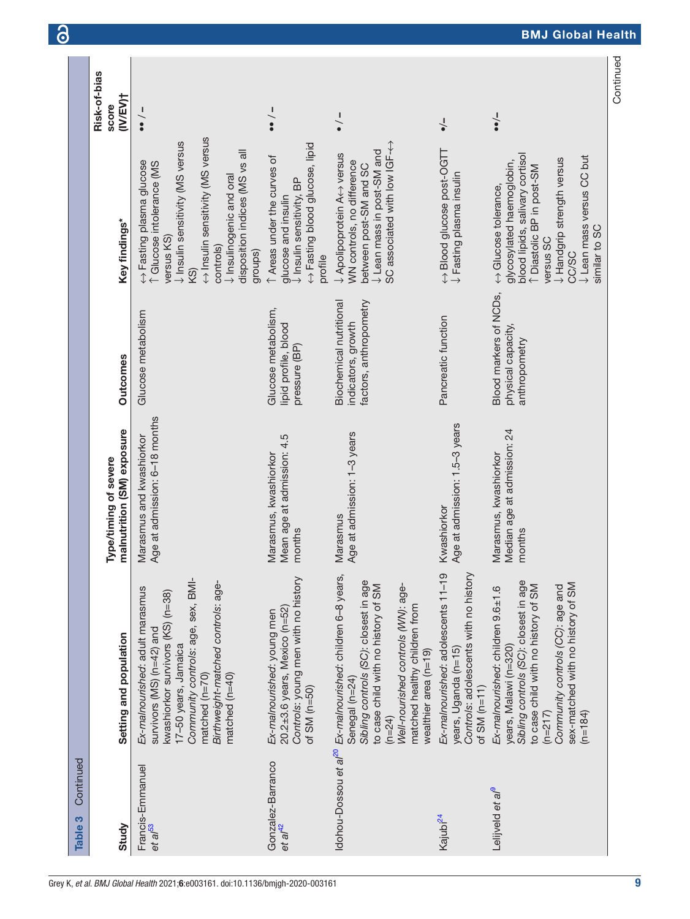| Continued<br>Table 3                       |                                                                                                                                                                                                                                                                                      |                                                                |                                                                         |                                                                                                                                                                                                                                                           |                                   |
|--------------------------------------------|--------------------------------------------------------------------------------------------------------------------------------------------------------------------------------------------------------------------------------------------------------------------------------------|----------------------------------------------------------------|-------------------------------------------------------------------------|-----------------------------------------------------------------------------------------------------------------------------------------------------------------------------------------------------------------------------------------------------------|-----------------------------------|
| Study                                      | Setting and population                                                                                                                                                                                                                                                               | malnutrition (SM) exposure<br>Type/timing of severe            | <b>Outcomes</b>                                                         | Key findings*                                                                                                                                                                                                                                             | Risk-of-bias<br>(IV/EV)†<br>score |
| Francis-Emmanuel<br>et al <sup>53</sup>    | Community controls: age, sex, BMI-<br>Birthweight-matched controls: age-<br>Ex-malnourished: adult marasmus<br>kwashiorkor survivors (KS) (n=38)<br>survivors (MS) (n=42) and<br>17-50 years, Jamaica<br>matched $(n=70)$<br>matched $(n=40)$                                        | Age at admission: 6-18 months<br>Marasmus and kwashiorkor      | Glucose metabolism                                                      | ← Insulin sensitivity (MS versus<br>Unsulin sensitivity (MS versus<br>disposition indices (MS vs all<br>← Fasting plasma glucose<br>↑ Glucose intolerance (MS<br>$\downarrow$ Insulinogenic and oral<br>versus KS)<br>controls)<br>groups)<br>KS)         | $\frac{1}{\bullet}$               |
| Gonzalez-Barranco<br>$et$ al <sup>42</sup> | Controls: young men with no history<br>$20.2\pm3.6$ years, Mexico (n=52)<br>Ex-malnourished: young men<br>of $SM$ ( $n=50$ )                                                                                                                                                         | Mean age at admission: 4.5<br>Marasmus, kwashiorkor<br>months  | Glucose metabolism,<br>lipid profile, blood<br>pressure (BP)            | ← Fasting blood glucose, lipid<br>1 Areas under the curves of<br>$\downarrow$ Insulin sensitivity, BP<br>glucose and insulin<br>profile                                                                                                                   | $\frac{1}{\bullet}$               |
|                                            | ldohou-Dossou et al <sup>20</sup> Ex-malnourished: children 6-8 years,<br>Sibling controls (SC): closest in age<br>Well-nourished controls (WN): age-<br>to case child with no history of SM<br>matched healthy children from<br>wealthier area (n=19)<br>Senegal (n=24)<br>$(n=24)$ | Age at admission: 1-3 years<br>Marasmus                        | factors, anthropometry<br>Biochemical nutritional<br>indicators, growth | SC associated with low IGF-<-<br>↓ Lean mass in post-SM and<br>↓ Apolipoprotein A<> versus<br>WN controls, no difference<br>between post-SM and SC                                                                                                        | $\frac{1}{\bullet}$               |
| Kajubi <sup>24</sup>                       | Ex-malnourished: adolescents 11-19<br>Controls: adolescents with no history<br>years, Uganda (n=15)<br>of SM $(n=11)$                                                                                                                                                                | Age at admission: 1.5-3 years<br>Kwashiorkor                   | Pancreatic function                                                     | ← Blood glucose post-OGTT<br>$\downarrow$ Fasting plasma insulin                                                                                                                                                                                          | $\frac{1}{\bullet}$               |
| Lelijveld et al <sup>9</sup>               | Sibling controls (SC): closest in age<br>sex-matched with no history of SM<br>to case child with no history of SM<br>Community controls (CC): age and<br>Ex-malnourished: children 9.6±1.6<br>years, Malawi (n=320)<br>$(n=217)$<br>$(n=184)$                                        | Median age at admission: 24<br>Marasmus, kwashiorkor<br>months | Blood markers of NCDs,<br>physical capacity,<br>anthropometry           | blood lipids, salivary cortisol<br>$\downarrow$ Lean mass versus CC but<br>$\downarrow$ Handgrip strength versus<br>glycosylated haemoglobin,<br>↑ Diastolic BP in post-SM<br>$\leftrightarrow$ Glucose tolerance,<br>similar to SC<br>versus SC<br>CC/SC | $-\bullet$                        |
|                                            |                                                                                                                                                                                                                                                                                      |                                                                |                                                                         |                                                                                                                                                                                                                                                           | Continued                         |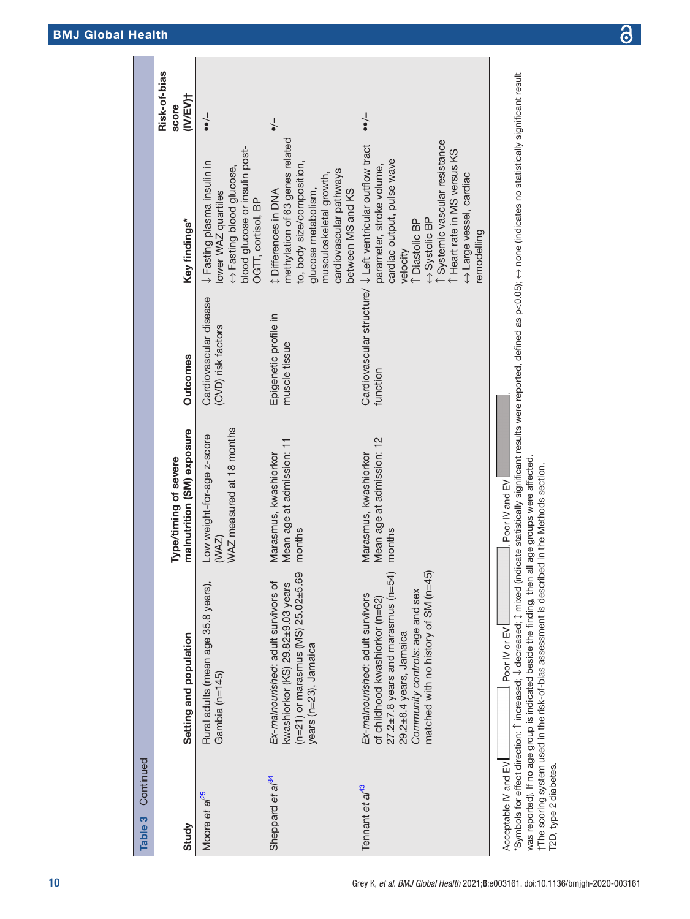| Continued<br>Table 3<br>Study                 | Setting and population                                                                                                                                                                                                                                                                                                                                                                         | malnutrition (SM) exposure<br>Type/timing of severe              | <b>Outcomes</b>                              | Key findings*                                                                                                                                                                                                                                                                                        | Risk-of-bias<br>(IV/EV)†<br>score |
|-----------------------------------------------|------------------------------------------------------------------------------------------------------------------------------------------------------------------------------------------------------------------------------------------------------------------------------------------------------------------------------------------------------------------------------------------------|------------------------------------------------------------------|----------------------------------------------|------------------------------------------------------------------------------------------------------------------------------------------------------------------------------------------------------------------------------------------------------------------------------------------------------|-----------------------------------|
| Moore et a <sup>pes</sup>                     | Rural adults (mean age 35.8 years),<br>Gambia (n=145)                                                                                                                                                                                                                                                                                                                                          | WAZ measured at 18 months<br>Low weight-for-age z-score<br>(NAZ) | Cardiovascular disease<br>(CVD) risk factors | blood glucose or insulin post-<br>$\downarrow$ Fasting plasma insulin in<br>← Fasting blood glucose,<br>lower WAZ quartiles<br>OGTT, cortisol, BP                                                                                                                                                    | $-\prime$                         |
| Sheppard et al <sup>84</sup>                  | $(n=21)$ or marasmus (MS) 25.02 $\pm$ 5.69<br>Ex-malnourished: adult survivors of<br>kwashiorkor (KS) 29.82±9.03 years<br>years (n=23), Jamaica                                                                                                                                                                                                                                                | Mean age at admission: 11<br>Marasmus, kwashiorkor<br>months     | Epigenetic profile in<br>muscle tissue       | methylation of 63 genes related<br>to, body size/composition,<br>cardiovascular pathways<br>musculoskeletal growth,<br>glucose metabolism,<br>between MS and KS<br><b>‡Differences in DNA</b>                                                                                                        | $\frac{1}{\bullet}$               |
| Tennant et al <sup>43</sup>                   | matched with no history of SM (n=45)<br>$27.2 \pm 7.8$ years and marasmus (n=54)<br>Community controls: age and sex<br>Ex-malnourished: adult survivors<br>of childhood kwashiorkor (n=62)<br>29.2±8.4 years, Jamaica                                                                                                                                                                          | Mean age at admission: 12<br>Marasmus, kwashiorkor<br>months     | function                                     | 1 Systemic vascular resistance<br>Cardiovascular structure/ $\downarrow$ Left ventricular outflow tract<br>Fleart rate in MS versus KS<br>cardiac output, pulse wave<br>parameter, stroke volume,<br>← Large vessel, cardiac<br>← Systolic BP<br><sup>1</sup> Diastolic BP<br>emodelling<br>velocity | $-\prime$                         |
| Acceptable IV and EV<br>T2D, type 2 diabetes. | *Symbols for effect direction: ↑ increased; ↓ decreased; ↓ decreased; ↓ decreased; ↑ molicate statistical (indicates none indicates no statistically significant result<br>was reported). If no age group is indicated beside the finding, then all age groups were affected.<br>†The scoring system used in the risk-of-bias assessment is described in the Methods section.<br>Poor IV or EV | . Poor IV and EV                                                 |                                              |                                                                                                                                                                                                                                                                                                      |                                   |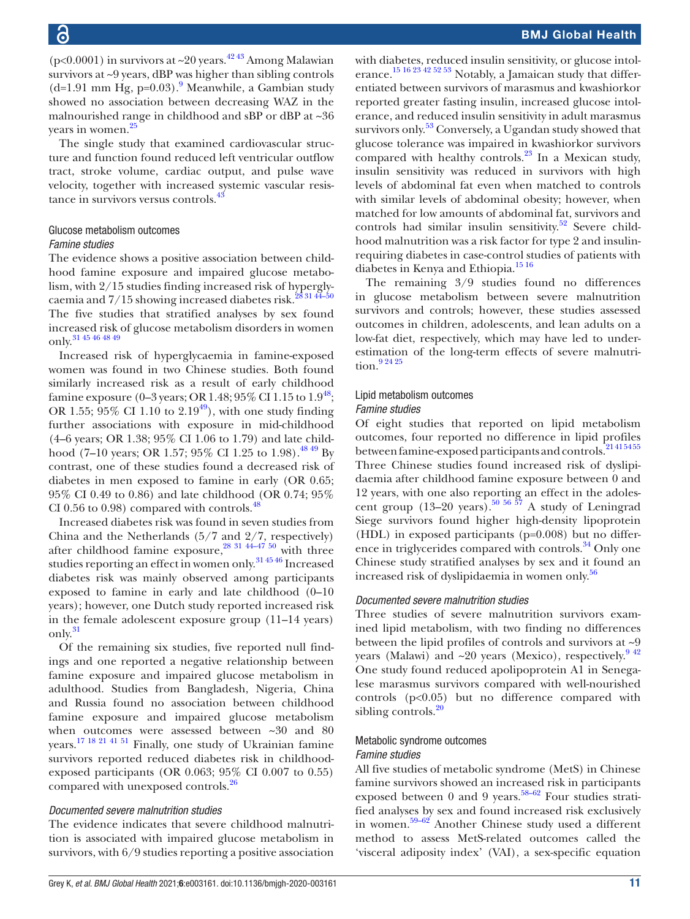(p<0.0001) in survivors at  $\sim$ 20 years.<sup>4243</sup> Among Malawian survivors at ~9 years, dBP was higher than sibling controls  $(d=1.91$  $(d=1.91$  $(d=1.91$  mm Hg, p=0.03).<sup>9</sup> Meanwhile, a Gambian study showed no association between decreasing WAZ in the malnourished range in childhood and sBP or dBP at ~36 years in women.<sup>[25](#page-14-16)</sup>

The single study that examined cardiovascular structure and function found reduced left ventricular outflow tract, stroke volume, cardiac output, and pulse wave velocity, together with increased systemic vascular resistance in survivors versus controls[.43](#page-14-43)

# Glucose metabolism outcomes

#### *Famine studies*

The evidence shows a positive association between childhood famine exposure and impaired glucose metabolism, with 2/15 studies finding increased risk of hyperglycaemia and 7/15 showing increased diabetes risk.<sup>28 31 44-50</sup> The five studies that stratified analyses by sex found increased risk of glucose metabolism disorders in women only.[31 45 46 48 49](#page-14-20)

Increased risk of hyperglycaemia in famine-exposed women was found in two Chinese studies. Both found similarly increased risk as a result of early childhood famine exposure (0–3 years; OR 1.[48](#page-15-3);  $95\%$  CI 1.15 to  $1.9^{48}$ ; OR 1.55; 95% CI 1.10 to  $2.19^{49}$ ), with one study finding further associations with exposure in mid-childhood (4–6 years; OR 1.38; 95% CI 1.06 to 1.79) and late childhood (7–10 years; OR 1.57; 95% CI 1.25 to 1.98).<sup>48 49</sup> By contrast, one of these studies found a decreased risk of diabetes in men exposed to famine in early (OR 0.65; 95% CI 0.49 to 0.86) and late childhood (OR 0.74; 95% CI 0.56 to 0.98) compared with controls. $48$ 

Increased diabetes risk was found in seven studies from China and the Netherlands (5/7 and 2/7, respectively) after childhood famine exposure,<sup>28 31 44–47 50</sup> with three studies reporting an effect in women only.[31 45 46](#page-14-20) Increased diabetes risk was mainly observed among participants exposed to famine in early and late childhood (0–10 years); however, one Dutch study reported increased risk in the female adolescent exposure group (11–14 years) only.[31](#page-14-20)

Of the remaining six studies, five reported null findings and one reported a negative relationship between famine exposure and impaired glucose metabolism in adulthood. Studies from Bangladesh, Nigeria, China and Russia found no association between childhood famine exposure and impaired glucose metabolism when outcomes were assessed between ~30 and 80 years[.17 18 21 41 51](#page-14-13) Finally, one study of Ukrainian famine survivors reported reduced diabetes risk in childhoodexposed participants (OR 0.063; 95% CI 0.007 to 0.55) compared with unexposed controls.<sup>[26](#page-14-17)</sup>

#### *Documented severe malnutrition studies*

The evidence indicates that severe childhood malnutrition is associated with impaired glucose metabolism in survivors, with 6/9 studies reporting a positive association

with diabetes, reduced insulin sensitivity, or glucose intolerance.<sup>15 16 23 42 52 53</sup> Notably, a Jamaican study that differentiated between survivors of marasmus and kwashiorkor reported greater fasting insulin, increased glucose intolerance, and reduced insulin sensitivity in adult marasmus survivors only.<sup>[53](#page-15-20)</sup> Conversely, a Ugandan study showed that glucose tolerance was impaired in kwashiorkor survivors compared with healthy controls. $^{23}$  In a Mexican study, insulin sensitivity was reduced in survivors with high levels of abdominal fat even when matched to controls with similar levels of abdominal obesity; however, when matched for low amounts of abdominal fat, survivors and controls had similar insulin sensitivity. $52$  Severe childhood malnutrition was a risk factor for type 2 and insulinrequiring diabetes in case-control studies of patients with diabetes in Kenya and Ethiopia.[15 16](#page-14-12)

The remaining 3/9 studies found no differences in glucose metabolism between severe malnutrition survivors and controls; however, these studies assessed outcomes in children, adolescents, and lean adults on a low-fat diet, respectively, which may have led to underestimation of the long-term effects of severe malnutrition.<sup>9</sup> <sup>24</sup> <sup>25</sup>

# Lipid metabolism outcomes

### *Famine studies*

Of eight studies that reported on lipid metabolism outcomes, four reported no difference in lipid profiles between famine-exposed participants and controls.<sup>21415455</sup> Three Chinese studies found increased risk of dyslipidaemia after childhood famine exposure between 0 and 12 years, with one also reporting an effect in the adoles-cent group (13–20 years).<sup>[50 56 57](#page-15-15)</sup> A study of Leningrad Siege survivors found higher high-density lipoprotein (HDL) in exposed participants (p=0.008) but no differ-ence in triglycerides compared with controls.<sup>[34](#page-14-19)</sup> Only one Chinese study stratified analyses by sex and it found an increased risk of dyslipidaemia in women only.<sup>[56](#page-15-8)</sup>

#### *Documented severe malnutrition studies*

Three studies of severe malnutrition survivors examined lipid metabolism, with two finding no differences between the lipid profiles of controls and survivors at  $\sim 9$ years (Malawi) and  $\sim$ 20 years (Mexico), respectively.<sup>942</sup> One study found reduced apolipoprotein A1 in Senegalese marasmus survivors compared with well-nourished controls (p<0.05) but no difference compared with sibling controls. $20$ 

#### Metabolic syndrome outcomes *Famine studies*

All five studies of metabolic syndrome (MetS) in Chinese famine survivors showed an increased risk in participants exposed between 0 and 9 years.<sup>58–62</sup> Four studies stratified analyses by sex and found increased risk exclusively in women. $59-62$  Another Chinese study used a different method to assess MetS-related outcomes called the 'visceral adiposity index' (VAI), a sex-specific equation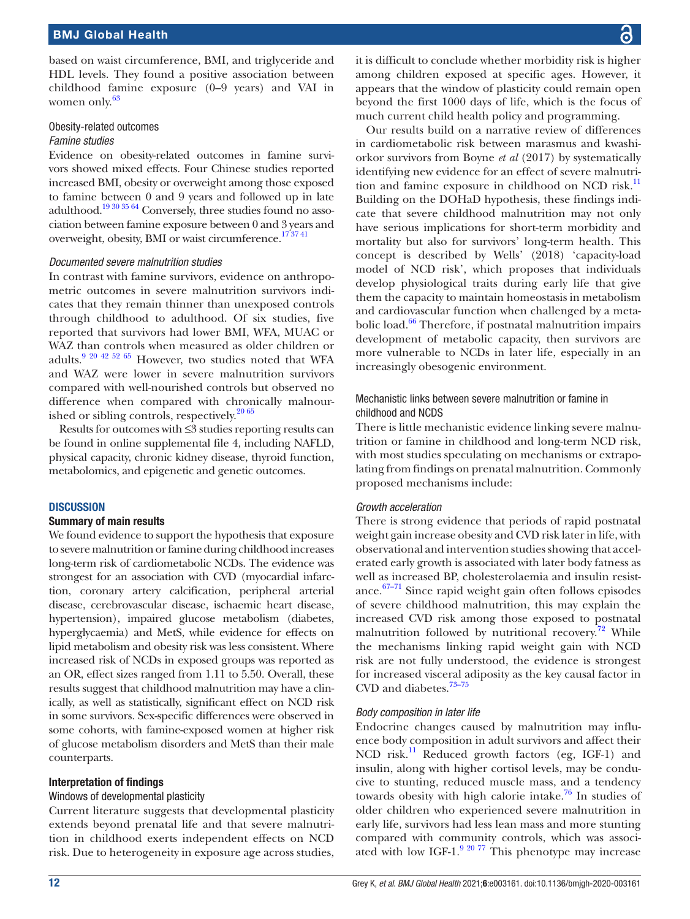based on waist circumference, BMI, and triglyceride and HDL levels. They found a positive association between childhood famine exposure (0–9 years) and VAI in women only.<sup>[63](#page-15-0)</sup>

#### Obesity-related outcomes *Famine studies*

Evidence on obesity-related outcomes in famine survivors showed mixed effects. Four Chinese studies reported increased BMI, obesity or overweight among those exposed to famine between 0 and 9 years and followed up in late adulthood[.19 30 35 64](#page-14-25) Conversely, three studies found no association between famine exposure between 0 and 3 years and overweight, obesity, BMI or waist circumference.<sup>173741</sup>

#### *Documented severe malnutrition studies*

In contrast with famine survivors, evidence on anthropometric outcomes in severe malnutrition survivors indicates that they remain thinner than unexposed controls through childhood to adulthood. Of six studies, five reported that survivors had lower BMI, WFA, MUAC or WAZ than controls when measured as older children or adults.[9 20 42 52 65](#page-14-7) However, two studies noted that WFA and WAZ were lower in severe malnutrition survivors compared with well-nourished controls but observed no difference when compared with chronically malnourished or sibling controls, respectively.<sup>20 65</sup>

Results for outcomes with ≤3 studies reporting results can be found in [online supplemental file 4](https://dx.doi.org/10.1136/bmjgh-2020-003161), including NAFLD, physical capacity, chronic kidney disease, thyroid function, metabolomics, and epigenetic and genetic outcomes.

#### **DISCUSSION**

#### Summary of main results

We found evidence to support the hypothesis that exposure to severe malnutrition or famine during childhood increases long-term risk of cardiometabolic NCDs. The evidence was strongest for an association with CVD (myocardial infarction, coronary artery calcification, peripheral arterial disease, cerebrovascular disease, ischaemic heart disease, hypertension), impaired glucose metabolism (diabetes, hyperglycaemia) and MetS, while evidence for effects on lipid metabolism and obesity risk was less consistent. Where increased risk of NCDs in exposed groups was reported as an OR, effect sizes ranged from 1.11 to 5.50. Overall, these results suggest that childhood malnutrition may have a clinically, as well as statistically, significant effect on NCD risk in some survivors. Sex-specific differences were observed in some cohorts, with famine-exposed women at higher risk of glucose metabolism disorders and MetS than their male counterparts.

#### Interpretation of findings

#### Windows of developmental plasticity

Current literature suggests that developmental plasticity extends beyond prenatal life and that severe malnutrition in childhood exerts independent effects on NCD risk. Due to heterogeneity in exposure age across studies,

it is difficult to conclude whether morbidity risk is higher among children exposed at specific ages. However, it appears that the window of plasticity could remain open beyond the first 1000 days of life, which is the focus of much current child health policy and programming.

Our results build on a narrative review of differences in cardiometabolic risk between marasmus and kwashiorkor survivors from Boyne *et al* (2017) by systematically identifying new evidence for an effect of severe malnutri-tion and famine exposure in childhood on NCD risk.<sup>[11](#page-14-8)</sup> Building on the DOHaD hypothesis, these findings indicate that severe childhood malnutrition may not only have serious implications for short-term morbidity and mortality but also for survivors' long-term health. This concept is described by Wells' (2018) 'capacity-load model of NCD risk', which proposes that individuals develop physiological traits during early life that give them the capacity to maintain homeostasis in metabolism and cardiovascular function when challenged by a metabolic load.<sup>66</sup> Therefore, if postnatal malnutrition impairs development of metabolic capacity, then survivors are more vulnerable to NCDs in later life, especially in an increasingly obesogenic environment.

#### Mechanistic links between severe malnutrition or famine in childhood and NCDS

There is little mechanistic evidence linking severe malnutrition or famine in childhood and long-term NCD risk, with most studies speculating on mechanisms or extrapolating from findings on prenatal malnutrition. Commonly proposed mechanisms include:

#### *Growth acceleration*

There is strong evidence that periods of rapid postnatal weight gain increase obesity and CVD risk later in life, with observational and intervention studies showing that accelerated early growth is associated with later body fatness as well as increased BP, cholesterolaemia and insulin resistance.<sup>67-71</sup> Since rapid weight gain often follows episodes of severe childhood malnutrition, this may explain the increased CVD risk among those exposed to postnatal malnutrition followed by nutritional recovery.<sup>72</sup> While the mechanisms linking rapid weight gain with NCD risk are not fully understood, the evidence is strongest for increased visceral adiposity as the key causal factor in CVD and diabetes.<sup>73-75</sup>

#### *Body composition in later life*

Endocrine changes caused by malnutrition may influence body composition in adult survivors and affect their NCD risk.<sup>11</sup> Reduced growth factors (eg, IGF-1) and insulin, along with higher cortisol levels, may be conducive to stunting, reduced muscle mass, and a tendency towards obesity with high calorie intake.<sup>76</sup> In studies of older children who experienced severe malnutrition in early life, survivors had less lean mass and more stunting compared with community controls, which was associated with low IGF-1. $9\frac{2077}{7}$  This phenotype may increase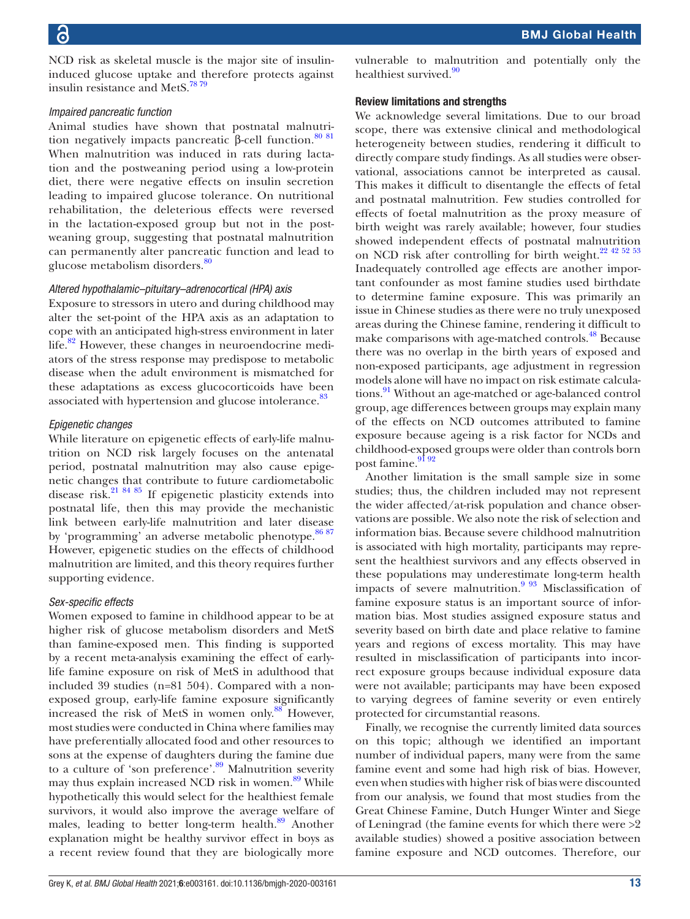NCD risk as skeletal muscle is the major site of insulininduced glucose uptake and therefore protects against insulin resistance and MetS.<sup>78</sup><sup>79</sup>

#### *Impaired pancreatic function*

Animal studies have shown that postnatal malnutri-tion negatively impacts pancreatic β-cell function.<sup>[80 81](#page-15-28)</sup> When malnutrition was induced in rats during lactation and the postweaning period using a low-protein diet, there were negative effects on insulin secretion leading to impaired glucose tolerance. On nutritional rehabilitation, the deleterious effects were reversed in the lactation-exposed group but not in the postweaning group, suggesting that postnatal malnutrition can permanently alter pancreatic function and lead to glucose metabolism disorders.<sup>[80](#page-15-28)</sup>

#### *Altered hypothalamic–pituitary–adrenocortical (HPA) axis*

Exposure to stressors in utero and during childhood may alter the set-point of the HPA axis as an adaptation to cope with an anticipated high-stress environment in later life.<sup>82</sup> However, these changes in neuroendocrine mediators of the stress response may predispose to metabolic disease when the adult environment is mismatched for these adaptations as excess glucocorticoids have been associated with hypertension and glucose intolerance.<sup>83</sup>

#### *Epigenetic changes*

While literature on epigenetic effects of early-life malnutrition on NCD risk largely focuses on the antenatal period, postnatal malnutrition may also cause epigenetic changes that contribute to future cardiometabolic disease risk.[21 84 85](#page-14-38) If epigenetic plasticity extends into postnatal life, then this may provide the mechanistic link between early-life malnutrition and later disease by 'programming' an adverse metabolic phenotype. $86 87$ However, epigenetic studies on the effects of childhood malnutrition are limited, and this theory requires further supporting evidence.

#### *Sex-specific effects*

Women exposed to famine in childhood appear to be at higher risk of glucose metabolism disorders and MetS than famine-exposed men. This finding is supported by a recent meta-analysis examining the effect of earlylife famine exposure on risk of MetS in adulthood that included 39 studies (n=81 504). Compared with a nonexposed group, early-life famine exposure significantly increased the risk of MetS in women only. $88$  However, most studies were conducted in China where families may have preferentially allocated food and other resources to sons at the expense of daughters during the famine due to a culture of 'son preference'.<sup>89</sup> Malnutrition severity may thus explain increased NCD risk in women.<sup>89</sup> While hypothetically this would select for the healthiest female survivors, it would also improve the average welfare of males, leading to better long-term health.<sup>[89](#page-15-33)</sup> Another explanation might be healthy survivor effect in boys as a recent review found that they are biologically more

vulnerable to malnutrition and potentially only the healthiest survived.<sup>[90](#page-15-34)</sup>

#### Review limitations and strengths

We acknowledge several limitations. Due to our broad scope, there was extensive clinical and methodological heterogeneity between studies, rendering it difficult to directly compare study findings. As all studies were observational, associations cannot be interpreted as causal. This makes it difficult to disentangle the effects of fetal and postnatal malnutrition. Few studies controlled for effects of foetal malnutrition as the proxy measure of birth weight was rarely available; however, four studies showed independent effects of postnatal malnutrition on NCD risk after controlling for birth weight.<sup>[22 42 52 53](#page-14-18)</sup> Inadequately controlled age effects are another important confounder as most famine studies used birthdate to determine famine exposure. This was primarily an issue in Chinese studies as there were no truly unexposed areas during the Chinese famine, rendering it difficult to make comparisons with age-matched controls.<sup>48</sup> Because there was no overlap in the birth years of exposed and non-exposed participants, age adjustment in regression models alone will have no impact on risk estimate calculations.<sup>91</sup> Without an age-matched or age-balanced control group, age differences between groups may explain many of the effects on NCD outcomes attributed to famine exposure because ageing is a risk factor for NCDs and childhood-exposed groups were older than controls born post famine.<sup>[91 92](#page-15-35)</sup>

Another limitation is the small sample size in some studies; thus, the children included may not represent the wider affected/at-risk population and chance observations are possible. We also note the risk of selection and information bias. Because severe childhood malnutrition is associated with high mortality, participants may represent the healthiest survivors and any effects observed in these populations may underestimate long-term health impacts of severe malnutrition.<sup>9 93</sup> Misclassification of famine exposure status is an important source of information bias. Most studies assigned exposure status and severity based on birth date and place relative to famine years and regions of excess mortality. This may have resulted in misclassification of participants into incorrect exposure groups because individual exposure data were not available; participants may have been exposed to varying degrees of famine severity or even entirely protected for circumstantial reasons.

Finally, we recognise the currently limited data sources on this topic; although we identified an important number of individual papers, many were from the same famine event and some had high risk of bias. However, even when studies with higher risk of bias were discounted from our analysis, we found that most studies from the Great Chinese Famine, Dutch Hunger Winter and Siege of Leningrad (the famine events for which there were >2 available studies) showed a positive association between famine exposure and NCD outcomes. Therefore, our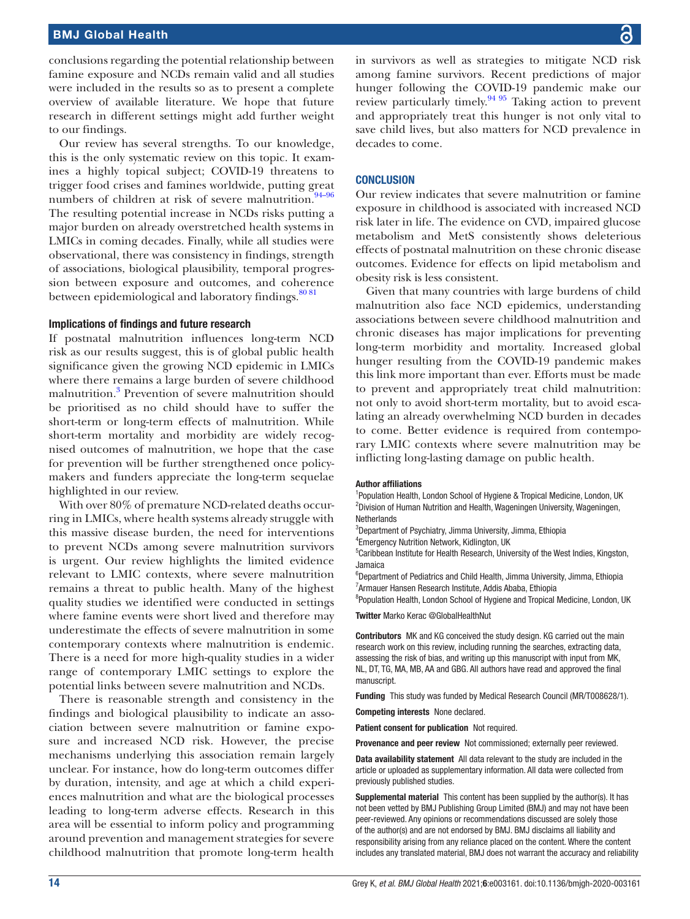conclusions regarding the potential relationship between famine exposure and NCDs remain valid and all studies were included in the results so as to present a complete overview of available literature. We hope that future research in different settings might add further weight to our findings.

Our review has several strengths. To our knowledge, this is the only systematic review on this topic. It examines a highly topical subject; COVID-19 threatens to trigger food crises and famines worldwide, putting great numbers of children at risk of severe malnutrition. $94-96$ The resulting potential increase in NCDs risks putting a major burden on already overstretched health systems in LMICs in coming decades. Finally, while all studies were observational, there was consistency in findings, strength of associations, biological plausibility, temporal progression between exposure and outcomes, and coherence between epidemiological and laboratory findings.<sup>[80 81](#page-15-28)</sup>

#### Implications of findings and future research

If postnatal malnutrition influences long-term NCD risk as our results suggest, this is of global public health significance given the growing NCD epidemic in LMICs where there remains a large burden of severe childhood malnutrition[.3](#page-14-2) Prevention of severe malnutrition should be prioritised as no child should have to suffer the short-term or long-term effects of malnutrition. While short-term mortality and morbidity are widely recognised outcomes of malnutrition, we hope that the case for prevention will be further strengthened once policymakers and funders appreciate the long-term sequelae highlighted in our review.

With over 80% of premature NCD-related deaths occurring in LMICs, where health systems already struggle with this massive disease burden, the need for interventions to prevent NCDs among severe malnutrition survivors is urgent. Our review highlights the limited evidence relevant to LMIC contexts, where severe malnutrition remains a threat to public health. Many of the highest quality studies we identified were conducted in settings where famine events were short lived and therefore may underestimate the effects of severe malnutrition in some contemporary contexts where malnutrition is endemic. There is a need for more high-quality studies in a wider range of contemporary LMIC settings to explore the potential links between severe malnutrition and NCDs.

There is reasonable strength and consistency in the findings and biological plausibility to indicate an association between severe malnutrition or famine exposure and increased NCD risk. However, the precise mechanisms underlying this association remain largely unclear. For instance, how do long-term outcomes differ by duration, intensity, and age at which a child experiences malnutrition and what are the biological processes leading to long-term adverse effects. Research in this area will be essential to inform policy and programming around prevention and management strategies for severe childhood malnutrition that promote long-term health

in survivors as well as strategies to mitigate NCD risk among famine survivors. Recent predictions of major hunger following the COVID-19 pandemic make our review particularly timely.<sup>94 95</sup> Taking action to prevent and appropriately treat this hunger is not only vital to save child lives, but also matters for NCD prevalence in decades to come.

#### **CONCLUSION**

Our review indicates that severe malnutrition or famine exposure in childhood is associated with increased NCD risk later in life. The evidence on CVD, impaired glucose metabolism and MetS consistently shows deleterious effects of postnatal malnutrition on these chronic disease outcomes. Evidence for effects on lipid metabolism and obesity risk is less consistent.

Given that many countries with large burdens of child malnutrition also face NCD epidemics, understanding associations between severe childhood malnutrition and chronic diseases has major implications for preventing long-term morbidity and mortality. Increased global hunger resulting from the COVID-19 pandemic makes this link more important than ever. Efforts must be made to prevent and appropriately treat child malnutrition: not only to avoid short-term mortality, but to avoid escalating an already overwhelming NCD burden in decades to come. Better evidence is required from contemporary LMIC contexts where severe malnutrition may be inflicting long-lasting damage on public health.

#### Author affiliations

<sup>1</sup>Population Health, London School of Hygiene & Tropical Medicine, London, UK <sup>2</sup>Division of Human Nutrition and Health, Wageningen University, Wageningen, **Netherlands** 

<sup>3</sup>Department of Psychiatry, Jimma University, Jimma, Ethiopia

4 Emergency Nutrition Network, Kidlington, UK

<sup>5</sup>Caribbean Institute for Health Research, University of the West Indies, Kingston, Jamaica

<sup>6</sup>Department of Pediatrics and Child Health, Jimma University, Jimma, Ethiopia <sup>7</sup> Armauer Hansen Research Institute, Addis Ababa, Ethiopia

<sup>8</sup>Population Health, London School of Hygiene and Tropical Medicine, London, UK Twitter Marko Kerac [@GlobalHealthNut](https://twitter.com/GlobalHealthNut)

Contributors MK and KG conceived the study design. KG carried out the main research work on this review, including running the searches, extracting data, assessing the risk of bias, and writing up this manuscript with input from MK, NL, DT, TG, MA, MB, AA and GBG. All authors have read and approved the final manuscript.

Funding This study was funded by Medical Research Council (MR/T008628/1).

Competing interests None declared.

Patient consent for publication Not required.

Provenance and peer review Not commissioned; externally peer reviewed.

Data availability statement All data relevant to the study are included in the article or uploaded as supplementary information. All data were collected from previously published studies.

Supplemental material This content has been supplied by the author(s). It has not been vetted by BMJ Publishing Group Limited (BMJ) and may not have been peer-reviewed. Any opinions or recommendations discussed are solely those of the author(s) and are not endorsed by BMJ. BMJ disclaims all liability and responsibility arising from any reliance placed on the content. Where the content includes any translated material, BMJ does not warrant the accuracy and reliability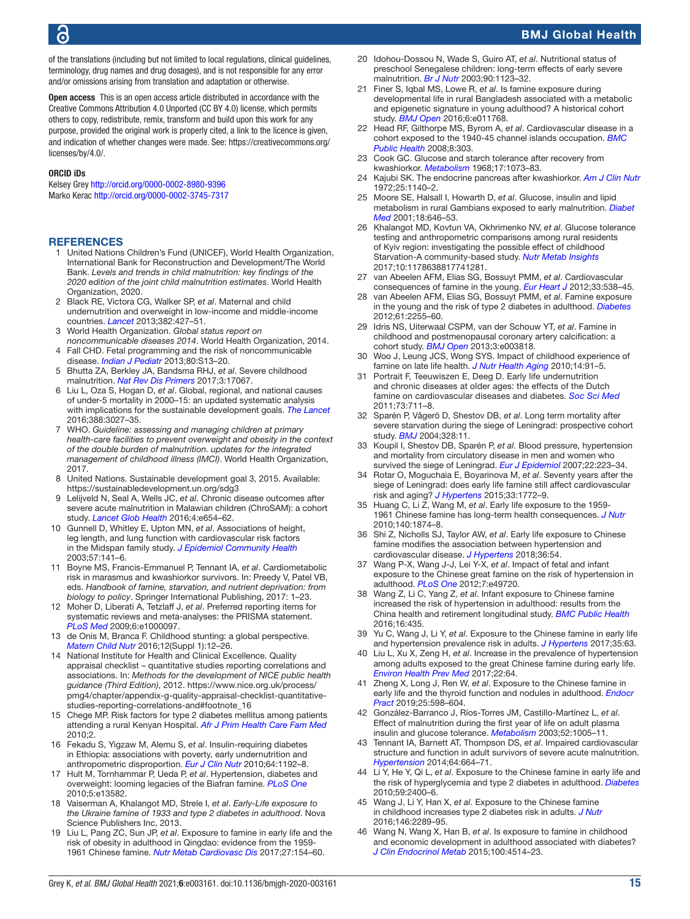of the translations (including but not limited to local regulations, clinical guidelines, terminology, drug names and drug dosages), and is not responsible for any error and/or omissions arising from translation and adaptation or otherwise.

Open access This is an open access article distributed in accordance with the Creative Commons Attribution 4.0 Unported (CC BY 4.0) license, which permits others to copy, redistribute, remix, transform and build upon this work for any purpose, provided the original work is properly cited, a link to the licence is given, and indication of whether changes were made. See: [https://creativecommons.org/](https://creativecommons.org/licenses/by/4.0/) [licenses/by/4.0/](https://creativecommons.org/licenses/by/4.0/).

#### ORCID iDs

Kelsey Grey <http://orcid.org/0000-0002-8980-9396> Marko Kerac<http://orcid.org/0000-0002-3745-7317>

#### <span id="page-14-0"></span>**REFERENCES**

- United Nations Children's Fund (UNICEF), World Health Organization, International Bank for Reconstruction and Development/The World Bank. *Levels and trends in child malnutrition: key findings of the 2020 edition of the joint child malnutrition estimates*. World Health Organization, 2020.
- <span id="page-14-1"></span>2 Black RE, Victora CG, Walker SP, *et al*. Maternal and child undernutrition and overweight in low-income and middle-income countries. *[Lancet](http://dx.doi.org/10.1016/S0140-6736(13)60937-X)* 2013;382:427–51.
- <span id="page-14-2"></span>3 World Health Organization. *Global status report on noncommunicable diseases 2014*. World Health Organization, 2014. 4 Fall CHD. Fetal programming and the risk of noncommunicable
- <span id="page-14-3"></span>disease. *[Indian J Pediatr](http://dx.doi.org/10.1007/s12098-012-0834-5)* 2013;80:S13–20. 5 Bhutta ZA, Berkley JA, Bandsma RHJ, *et al*. Severe childhood
- <span id="page-14-4"></span>malnutrition. *[Nat Rev Dis Primers](http://dx.doi.org/10.1038/nrdp.2017.67)* 2017;3:17067.
- <span id="page-14-5"></span>6 Liu L, Oza S, Hogan D, *et al*. Global, regional, and national causes of under-5 mortality in 2000–15: an updated systematic analysis with implications for the sustainable development goals. *[The Lancet](http://dx.doi.org/10.1016/S0140-6736(16)31593-8)* 2016;388:3027–35.
- 7 WHO. *Guideline: assessing and managing children at primary health-care facilities to prevent overweight and obesity in the context of the double burden of malnutrition. updates for the integrated management of childhood illness (IMCI)*. World Health Organization, 2017.
- <span id="page-14-6"></span>8 United Nations. Sustainable development goal 3, 2015. Available: <https://sustainabledevelopment.un.org/sdg3>
- <span id="page-14-7"></span>9 Lelijveld N, Seal A, Wells JC, *et al*. Chronic disease outcomes after severe acute malnutrition in Malawian children (ChroSAM): a cohort study. *[Lancet Glob Health](http://dx.doi.org/10.1016/S2214-109X(16)30133-4)* 2016;4:e654–62.
- 10 Gunnell D, Whitley E, Upton MN, *et al*. Associations of height, leg length, and lung function with cardiovascular risk factors in the Midspan family study. *[J Epidemiol Community Health](http://dx.doi.org/10.1136/jech.57.2.141)* 2003;57:141–6.
- <span id="page-14-8"></span>11 Boyne MS, Francis-Emmanuel P, Tennant IA, *et al*. Cardiometabolic risk in marasmus and kwashiorkor survivors. In: Preedy V, Patel VB, eds. *Handbook of famine, starvation, and nutrient deprivation: from biology to policy*. Springer International Publishing, 2017: 1–23.
- <span id="page-14-9"></span>12 Moher D, Liberati A, Tetzlaff J, *et al*. Preferred reporting items for systematic reviews and meta-analyses: the PRISMA statement. *[PLoS Med](http://dx.doi.org/10.1371/journal.pmed.1000097)* 2009;6:e1000097.
- <span id="page-14-10"></span>13 de Onis M, Branca F. Childhood stunting: a global perspective. *[Matern Child Nutr](http://dx.doi.org/10.1111/mcn.12231)* 2016;12(Suppl 1):12–26.
- <span id="page-14-11"></span>14 National Institute for Health and Clinical Excellence. Quality appraisal checklist – quantitative studies reporting correlations and associations. In: *Methods for the development of NICE public health guidance (Third Edition)*, 2012. [https://www.nice.org.uk/process/](https://www.nice.org.uk/process/pmg4/chapter/appendix-g-quality-appraisal-checklist-quantitative-studies-reporting-correlations-and#footnote_16) [pmg4/chapter/appendix-g-quality-appraisal-checklist-quantitative](https://www.nice.org.uk/process/pmg4/chapter/appendix-g-quality-appraisal-checklist-quantitative-studies-reporting-correlations-and#footnote_16)[studies-reporting-correlations-and#footnote\\_16](https://www.nice.org.uk/process/pmg4/chapter/appendix-g-quality-appraisal-checklist-quantitative-studies-reporting-correlations-and#footnote_16)
- <span id="page-14-12"></span>15 Chege MP. Risk factors for type 2 diabetes mellitus among patients attending a rural Kenyan Hospital. *[Afr J Prim Health Care Fam Med](http://dx.doi.org/10.4102/phcfm.v2i1.96)* 2010;2.
- <span id="page-14-39"></span>16 Fekadu S, Yigzaw M, Alemu S, *et al*. Insulin-requiring diabetes in Ethiopia: associations with poverty, early undernutrition and anthropometric disproportion. *[Eur J Clin Nutr](http://dx.doi.org/10.1038/ejcn.2010.143)* 2010;64:1192–8.
- <span id="page-14-13"></span>17 Hult M, Tornhammar P, Ueda P, *et al*. Hypertension, diabetes and overweight: looming legacies of the Biafran famine. *[PLoS One](http://dx.doi.org/10.1371/journal.pone.0013582)* 2010;5:e13582.
- <span id="page-14-14"></span>18 Vaiserman A, Khalangot MD, Strele I, *et al*. *Early-Life exposure to the Ukraine famine of 1933 and type 2 diabetes in adulthood*. Nova Science Publishers Inc, 2013.
- <span id="page-14-25"></span>19 Liu L, Pang ZC, Sun JP, *et al*. Exposure to famine in early life and the risk of obesity in adulthood in Qingdao: evidence from the 1959- 1961 Chinese famine. *[Nutr Metab Cardiovasc Dis](http://dx.doi.org/10.1016/j.numecd.2016.11.125)* 2017;27:154–60.
- <span id="page-14-15"></span>20 Idohou-Dossou N, Wade S, Guiro AT, *et al*. Nutritional status of preschool Senegalese children: long-term effects of early severe malnutrition. *[Br J Nutr](http://dx.doi.org/10.1079/bjn2003990)* 2003;90:1123–32.
- <span id="page-14-38"></span>21 Finer S, Iqbal MS, Lowe R, *et al*. Is famine exposure during developmental life in rural Bangladesh associated with a metabolic and epigenetic signature in young adulthood? A historical cohort study. *[BMJ Open](http://dx.doi.org/10.1136/bmjopen-2016-011768)* 2016;6:e011768.
- <span id="page-14-18"></span>22 Head RF, Gilthorpe MS, Byrom A, *et al*. Cardiovascular disease in a cohort exposed to the 1940-45 channel islands occupation. *[BMC](http://dx.doi.org/10.1186/1471-2458-8-303)  [Public Health](http://dx.doi.org/10.1186/1471-2458-8-303)* 2008;8:303.
- <span id="page-14-40"></span>23 Cook GC. Glucose and starch tolerance after recovery from kwashiorkor. *[Metabolism](http://dx.doi.org/10.1016/0026-0495(68)90086-3)* 1968;17:1073–83.
- <span id="page-14-42"></span>24 Kajubi SK. The endocrine pancreas after kwashiorkor. *[Am J Clin Nutr](http://dx.doi.org/10.1093/ajcn/25.11.1140)* 1972;25:1140–2.
- <span id="page-14-16"></span>25 Moore SE, Halsall I, Howarth D, *et al*. Glucose, insulin and lipid metabolism in rural Gambians exposed to early malnutrition. *[Diabet](http://dx.doi.org/10.1046/j.1464-5491.2001.00565.x)  [Med](http://dx.doi.org/10.1046/j.1464-5491.2001.00565.x)* 2001;18:646–53.
- <span id="page-14-17"></span>26 Khalangot MD, Kovtun VA, Okhrimenko NV, *et al*. Glucose tolerance testing and anthropometric comparisons among rural residents of Kyiv region: investigating the possible effect of childhood Starvation-A community-based study. *[Nutr Metab Insights](http://dx.doi.org/10.1177/1178638817741281)* 2017;10:1178638817741281.
- <span id="page-14-35"></span>27 van Abeelen AFM, Elias SG, Bossuyt PMM, *et al*. Cardiovascular consequences of famine in the young. *[Eur Heart J](http://dx.doi.org/10.1093/eurheartj/ehr228)* 2012;33:538–45.
- <span id="page-14-36"></span>28 van Abeelen AFM, Elias SG, Bossuyt PMM, *et al*. Famine exposure in the young and the risk of type 2 diabetes in adulthood. *[Diabetes](http://dx.doi.org/10.2337/db11-1559)* 2012;61:2255–60.
- <span id="page-14-34"></span>29 Idris NS, Uiterwaal CSPM, van der Schouw YT, *et al*. Famine in childhood and postmenopausal coronary artery calcification: a cohort study. *[BMJ Open](http://dx.doi.org/10.1136/bmjopen-2013-003818)* 2013;3:e003818.
- <span id="page-14-21"></span>30 Woo J, Leung JCS, Wong SYS. Impact of childhood experience of famine on late life health. *[J Nutr Health Aging](http://dx.doi.org/10.1007/s12603-009-0193-8)* 2010;14:91–5.
- <span id="page-14-20"></span>31 Portrait F, Teeuwiszen E, Deeg D. Early life undernutrition and chronic diseases at older ages: the effects of the Dutch famine on cardiovascular diseases and diabetes. *[Soc Sci Med](http://dx.doi.org/10.1016/j.socscimed.2011.04.005)* 2011;73:711–8.
- <span id="page-14-22"></span>32 Sparén P, Vågerö D, Shestov DB, *et al*. Long term mortality after severe starvation during the siege of Leningrad: prospective cohort study. *[BMJ](http://dx.doi.org/10.1136/bmj.37942.603970.9A)* 2004;328:11.
- <span id="page-14-37"></span>33 Koupil I, Shestov DB, Sparén P, *et al*. Blood pressure, hypertension and mortality from circulatory disease in men and women who survived the siege of Leningrad. *[Eur J Epidemiol](http://dx.doi.org/10.1007/s10654-007-9113-6)* 2007;22:223–34.
- <span id="page-14-19"></span>34 Rotar O, Moguchaia E, Boyarinova M, *et al*. Seventy years after the siege of Leningrad: does early life famine still affect cardiovascular risk and aging? *[J Hypertens](http://dx.doi.org/10.1097/HJH.0000000000000640)* 2015;33:1772–9.
- <span id="page-14-23"></span>35 Huang C, Li Z, Wang M, *et al*. Early life exposure to the 1959- 1961 Chinese famine has long-term health consequences. *[J Nutr](http://dx.doi.org/10.3945/jn.110.121293)* 2010;140:1874–8.
- <span id="page-14-27"></span>36 Shi Z, Nicholls SJ, Taylor AW, *et al*. Early life exposure to Chinese famine modifies the association between hypertension and cardiovascular disease. *[J Hypertens](http://dx.doi.org/10.1097/HJH.0000000000001496)* 2018;36:54.
- <span id="page-14-30"></span>37 Wang P-X, Wang J-J, Lei Y-X, *et al*. Impact of fetal and infant exposure to the Chinese great famine on the risk of hypertension in adulthood. *[PLoS One](http://dx.doi.org/10.1371/journal.pone.0049720)* 2012;7:e49720.
- <span id="page-14-31"></span>Wang Z, Li C, Yang Z, et al. Infant exposure to Chinese famine increased the risk of hypertension in adulthood: results from the China health and retirement longitudinal study. *[BMC Public Health](http://dx.doi.org/10.1186/s12889-016-3122-x)* 2016;16:435.
- <span id="page-14-32"></span>39 Yu C, Wang J, Li Y, *et al*. Exposure to the Chinese famine in early life and hypertension prevalence risk in adults. *[J Hypertens](http://dx.doi.org/10.1097/HJH.0000000000001122)* 2017;35:63.
- <span id="page-14-26"></span>40 Liu L, Xu X, Zeng H, *et al*. Increase in the prevalence of hypertension among adults exposed to the great Chinese famine during early life. *[Environ Health Prev Med](http://dx.doi.org/10.1186/s12199-017-0671-2)* 2017;22:64.
- <span id="page-14-33"></span>41 Zheng X, Long J, Ren W, *et al*. Exposure to the Chinese famine in early life and the thyroid function and nodules in adulthood. *[Endocr](http://dx.doi.org/10.4158/EP-2019-0004)  [Pract](http://dx.doi.org/10.4158/EP-2019-0004)* 2019;25:598–604.
- <span id="page-14-41"></span>42 González-Barranco J, Ríos-Torres JM, Castillo-Martínez L, *et al*. Effect of malnutrition during the first year of life on adult plasma insulin and glucose tolerance. *[Metabolism](http://dx.doi.org/10.1016/s0026-0495(03)00151-3)* 2003;52:1005–11.
- <span id="page-14-43"></span>43 Tennant IA, Barnett AT, Thompson DS, *et al*. Impaired cardiovascular structure and function in adult survivors of severe acute malnutrition. *[Hypertension](http://dx.doi.org/10.1161/HYPERTENSIONAHA.114.03230)* 2014;64:664–71.
- <span id="page-14-24"></span>44 Li Y, He Y, Qi L, *et al*. Exposure to the Chinese famine in early life and the risk of hyperglycemia and type 2 diabetes in adulthood. *[Diabetes](http://dx.doi.org/10.2337/db10-0385)* 2010;59:2400–6.
- <span id="page-14-28"></span>45 Wang J, Li Y, Han X, *et al*. Exposure to the Chinese famine in childhood increases type 2 diabetes risk in adults. *[J Nutr](http://dx.doi.org/10.3945/jn.116.234575)* 2016;146:2289–95.
- <span id="page-14-29"></span>46 Wang N, Wang X, Han B, *et al*. Is exposure to famine in childhood and economic development in adulthood associated with diabetes? *[J Clin Endocrinol Metab](http://dx.doi.org/10.1210/jc.2015-2750)* 2015;100:4514–23.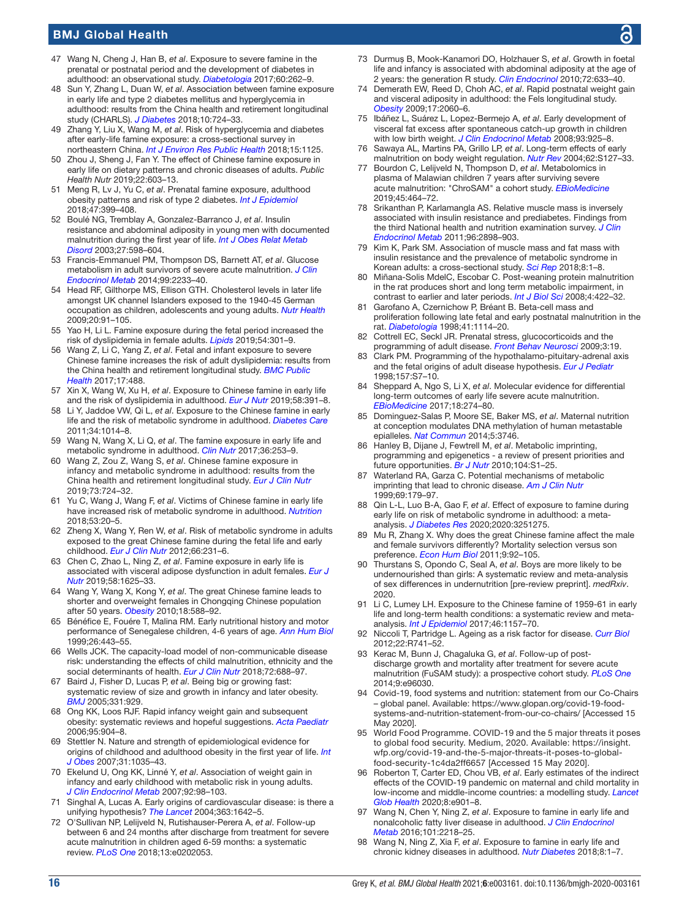- <span id="page-15-5"></span>47 Wang N, Cheng J, Han B, *et al*. Exposure to severe famine in the prenatal or postnatal period and the development of diabetes in adulthood: an observational study. *[Diabetologia](http://dx.doi.org/10.1007/s00125-016-4148-4)* 2017;60:262–9.
- <span id="page-15-3"></span>48 Sun Y, Zhang L, Duan W, *et al*. Association between famine exposure in early life and type 2 diabetes mellitus and hyperglycemia in adulthood: results from the China health and retirement longitudinal study (CHARLS). *[J Diabetes](http://dx.doi.org/10.1111/1753-0407.12653)* 2018;10:724–33.
- <span id="page-15-13"></span>49 Zhang Y, Liu X, Wang M, *et al*. Risk of hyperglycemia and diabetes after early-life famine exposure: a cross-sectional survey in northeastern China. *[Int J Environ Res Public Health](http://dx.doi.org/10.3390/ijerph15061125)* 2018;15:1125.
- <span id="page-15-15"></span>50 Zhou J, Sheng J, Fan Y. The effect of Chinese famine exposure in early life on dietary patterns and chronic diseases of adults. *Public Health Nutr* 2019;22:603–13.
- <span id="page-15-2"></span>51 Meng R, Lv J, Yu C, *et al*. Prenatal famine exposure, adulthood obesity patterns and risk of type 2 diabetes. *[Int J Epidemiol](http://dx.doi.org/10.1093/ije/dyx228)* 2018;47:399–408.
- <span id="page-15-18"></span>52 Boulé NG, Tremblay A, Gonzalez-Barranco J, *et al*. Insulin resistance and abdominal adiposity in young men with documented malnutrition during the first year of life. *[Int J Obes Relat Metab](http://dx.doi.org/10.1038/sj.ijo.0802288)  [Disord](http://dx.doi.org/10.1038/sj.ijo.0802288)* 2003;27:598–604.
- <span id="page-15-20"></span>53 Francis-Emmanuel PM, Thompson DS, Barnett AT, *et al*. Glucose metabolism in adult survivors of severe acute malnutrition. *[J Clin](http://dx.doi.org/10.1210/jc.2013-3511)  [Endocrinol Metab](http://dx.doi.org/10.1210/jc.2013-3511)* 2014;99:2233–40.
- <span id="page-15-16"></span>54 Head RF, Gilthorpe MS, Ellison GTH. Cholesterol levels in later life amongst UK channel Islanders exposed to the 1940-45 German occupation as children, adolescents and young adults. *[Nutr Health](http://dx.doi.org/10.1177/026010600902000202)* 2009;20:91–105.
- <span id="page-15-11"></span>55 Yao H, Li L. Famine exposure during the fetal period increased the risk of dyslipidemia in female adults. *[Lipids](http://dx.doi.org/10.1002/lipd.12151)* 2019;54:301–9.
- <span id="page-15-8"></span>56 Wang Z, Li C, Yang Z, *et al*. Fetal and infant exposure to severe Chinese famine increases the risk of adult dyslipidemia: results from the China health and retirement longitudinal study. *[BMC Public](http://dx.doi.org/10.1186/s12889-017-4421-6)  [Health](http://dx.doi.org/10.1186/s12889-017-4421-6)* 2017;17:488.
- <span id="page-15-10"></span>57 Xin X, Wang W, Xu H, *et al*. Exposure to Chinese famine in early life and the risk of dyslipidemia in adulthood. *[Eur J Nutr](http://dx.doi.org/10.1007/s00394-017-1603-z)* 2019;58:391–8.
- <span id="page-15-1"></span>58 Li Y, Jaddoe VW, Qi L, *et al*. Exposure to the Chinese famine in early life and the risk of metabolic syndrome in adulthood. *[Diabetes Care](http://dx.doi.org/10.2337/dc10-2039)* 2011;34:1014–8.
- <span id="page-15-6"></span>59 Wang N, Wang X, Li Q, *et al*. The famine exposure in early life and metabolic syndrome in adulthood. *[Clin Nutr](http://dx.doi.org/10.1016/j.clnu.2015.11.010)* 2017;36:253–9.
- <span id="page-15-9"></span>60 Wang Z, Zou Z, Wang S, *et al*. Chinese famine exposure in infancy and metabolic syndrome in adulthood: results from the China health and retirement longitudinal study. *[Eur J Clin Nutr](http://dx.doi.org/10.1038/s41430-018-0211-1)* 2019;73:724–32.
- <span id="page-15-12"></span>61 Yu C, Wang J, Wang F, *et al*. Victims of Chinese famine in early life have increased risk of metabolic syndrome in adulthood. *[Nutrition](http://dx.doi.org/10.1016/j.nut.2017.12.013)* 2018;53:20–5.
- <span id="page-15-14"></span>62 Zheng X, Wang Y, Ren W, *et al*. Risk of metabolic syndrome in adults exposed to the great Chinese famine during the fetal life and early childhood. *[Eur J Clin Nutr](http://dx.doi.org/10.1038/ejcn.2011.161)* 2012;66:231–6.
- <span id="page-15-0"></span>63 Chen C, Zhao L, Ning Z, *et al*. Famine exposure in early life is associated with visceral adipose dysfunction in adult females. *[Eur J](http://dx.doi.org/10.1007/s00394-018-1707-0)  [Nutr](http://dx.doi.org/10.1007/s00394-018-1707-0)* 2019;58:1625–33.
- 64 Wang Y, Wang X, Kong Y, *et al*. The great Chinese famine leads to shorter and overweight females in Chongqing Chinese population after 50 years. *[Obesity](http://dx.doi.org/10.1038/oby.2009.296)* 2010;18:588–92.
- <span id="page-15-17"></span>65 Bénéfice E, Fouére T, Malina RM. Early nutritional history and motor performance of Senegalese children, 4-6 years of age. *[Ann Hum Biol](http://dx.doi.org/10.1080/030144699282561)* 1999;26:443–55.
- <span id="page-15-22"></span>66 Wells JCK. The capacity-load model of non-communicable disease risk: understanding the effects of child malnutrition, ethnicity and the social determinants of health. *[Eur J Clin Nutr](http://dx.doi.org/10.1038/s41430-018-0142-x)* 2018;72:688–97.
- <span id="page-15-23"></span>67 Baird J, Fisher D, Lucas P, *et al*. Being big or growing fast: systematic review of size and growth in infancy and later obesity. *[BMJ](http://dx.doi.org/10.1136/bmj.38586.411273.E0)* 2005;331:929.
- 68 Ong KK, Loos RJF. Rapid infancy weight gain and subsequent obesity: systematic reviews and hopeful suggestions. *[Acta Paediatr](http://dx.doi.org/10.1080/08035250600719754)* 2006;95:904–8.
- 69 Stettler N. Nature and strength of epidemiological evidence for origins of childhood and adulthood obesity in the first year of life. *[Int](http://dx.doi.org/10.1038/sj.ijo.0803659)  [J Obes](http://dx.doi.org/10.1038/sj.ijo.0803659)* 2007;31:1035–43.
- 70 Ekelund U, Ong KK, Linné Y, *et al*. Association of weight gain in infancy and early childhood with metabolic risk in young adults. *[J Clin Endocrinol Metab](http://dx.doi.org/10.1210/jc.2006-1071)* 2007;92:98–103.
- Singhal A, Lucas A. Early origins of cardiovascular disease: is there a unifying hypothesis? *[The Lancet](http://dx.doi.org/10.1016/S0140-6736(04)16210-7)* 2004;363:1642–5.
- <span id="page-15-24"></span>72 O'Sullivan NP, Lelijveld N, Rutishauser-Perera A, *et al*. Follow-up between 6 and 24 months after discharge from treatment for severe acute malnutrition in children aged 6-59 months: a systematic review. *[PLoS One](http://dx.doi.org/10.1371/journal.pone.0202053)* 2018;13:e0202053.
- <span id="page-15-25"></span>73 Durmuş B, Mook-Kanamori DO, Holzhauer S, *et al*. Growth in foetal life and infancy is associated with abdominal adiposity at the age of 2 years: the generation R study. *[Clin Endocrinol](http://dx.doi.org/10.1111/j.1365-2265.2009.03708.x)* 2010;72:633–40.
- 74 Demerath EW, Reed D, Choh AC, *et al*. Rapid postnatal weight gain and visceral adiposity in adulthood: the Fels longitudinal study. *[Obesity](http://dx.doi.org/10.1038/oby.2009.105)* 2009;17:2060–6.
- 75 Ibáñez L, Suárez L, Lopez-Bermejo A, *et al*. Early development of visceral fat excess after spontaneous catch-up growth in children with low birth weight. *[J Clin Endocrinol Metab](http://dx.doi.org/10.1210/jc.2007-1618)* 2008;93:925–8.
- <span id="page-15-26"></span>76 Sawaya AL, Martins PA, Grillo LP, *et al*. Long-term effects of early malnutrition on body weight regulation. *[Nutr Rev](http://dx.doi.org/10.1111/j.1753-4887.2004.tb00082.x)* 2004;62:S127–33.
- <span id="page-15-19"></span>77 Bourdon C, Lelijveld N, Thompson D, *et al*. Metabolomics in plasma of Malawian children 7 years after surviving severe acute malnutrition: "ChroSAM" a cohort study. *[EBioMedicine](http://dx.doi.org/10.1016/j.ebiom.2019.06.041)* 2019;45:464–72.
- <span id="page-15-27"></span>78 Srikanthan P, Karlamangla AS. Relative muscle mass is inversely associated with insulin resistance and prediabetes. Findings from the third National health and nutrition examination survey. *[J Clin](http://dx.doi.org/10.1210/jc.2011-0435)  [Endocrinol Metab](http://dx.doi.org/10.1210/jc.2011-0435)* 2011;96:2898–903.
- 79 Kim K, Park SM. Association of muscle mass and fat mass with insulin resistance and the prevalence of metabolic syndrome in Korean adults: a cross-sectional study. *[Sci Rep](http://dx.doi.org/10.1038/s41598-018-21168-5)* 2018;8:1–8.
- <span id="page-15-28"></span>80 Miñana-Solis MdelC, Escobar C. Post-weaning protein malnutrition in the rat produces short and long term metabolic impairment, in contrast to earlier and later periods. *[Int J Biol Sci](http://dx.doi.org/10.7150/ijbs.4.422)* 2008;4:422–32.
- 81 Garofano A, Czernichow P, Bréant B. Beta-cell mass and proliferation following late fetal and early postnatal malnutrition in the rat. *[Diabetologia](http://dx.doi.org/10.1007/s001250051038)* 1998;41:1114–20.
- <span id="page-15-29"></span>Cottrell EC, Seckl JR. Prenatal stress, glucocorticoids and the programming of adult disease. *[Front Behav Neurosci](http://dx.doi.org/10.3389/neuro.08.019.2009)* 2009;3:19.
- <span id="page-15-30"></span>83 Clark PM. Programming of the hypothalamo-pituitary-adrenal axis and the fetal origins of adult disease hypothesis. *[Eur J Pediatr](http://dx.doi.org/10.1007/pl00014289)* 1998;157:S7–10.
- <span id="page-15-21"></span>84 Sheppard A, Ngo S, Li X, *et al*. Molecular evidence for differential long-term outcomes of early life severe acute malnutrition. *[EBioMedicine](http://dx.doi.org/10.1016/j.ebiom.2017.03.001)* 2017;18:274–80.
- 85 Dominguez-Salas P, Moore SE, Baker MS, *et al*. Maternal nutrition at conception modulates DNA methylation of human metastable epialleles. *[Nat Commun](http://dx.doi.org/10.1038/ncomms4746)* 2014;5:3746.
- <span id="page-15-31"></span>86 Hanley B, Dijane J, Fewtrell M, *et al*. Metabolic imprinting, programming and epigenetics - a review of present priorities and future opportunities. *[Br J Nutr](http://dx.doi.org/10.1017/S0007114510003338)* 2010;104:S1–25.
- 87 Waterland RA, Garza C. Potential mechanisms of metabolic imprinting that lead to chronic disease. *[Am J Clin Nutr](http://dx.doi.org/10.1093/ajcn/69.2.179)* 1999;69:179–97.
- <span id="page-15-32"></span>88 Qin L-L, Luo B-A, Gao F, *et al*. Effect of exposure to famine during early life on risk of metabolic syndrome in adulthood: a metaanalysis. *[J Diabetes Res](http://dx.doi.org/10.1155/2020/3251275)* 2020;2020:3251275.
- <span id="page-15-33"></span>89 Mu R, Zhang X. Why does the great Chinese famine affect the male and female survivors differently? Mortality selection versus son preference. *[Econ Hum Biol](http://dx.doi.org/10.1016/j.ehb.2010.07.003)* 2011;9:92–105.
- <span id="page-15-34"></span>90 Thurstans S, Opondo C, Seal A, *et al*. Boys are more likely to be undernourished than girls: A systematic review and meta-analysis of sex differences in undernutrition [pre-review preprint]. *medRxiv*. 2020.
- <span id="page-15-35"></span>91 Li C, Lumey LH. Exposure to the Chinese famine of 1959-61 in early life and long-term health conditions: a systematic review and metaanalysis. *[Int J Epidemiol](http://dx.doi.org/10.1093/ije/dyx013)* 2017;46:1157–70.
- 92 Niccoli T, Partridge L. Ageing as a risk factor for disease. *[Curr Biol](http://dx.doi.org/10.1016/j.cub.2012.07.024)* 2012;22:R741–52.
- 93 Kerac M, Bunn J, Chagaluka G, *et al*. Follow-up of postdischarge growth and mortality after treatment for severe acute malnutrition (FuSAM study): a prospective cohort study. *[PLoS One](http://dx.doi.org/10.1371/journal.pone.0096030)* 2014;9:e96030.
- <span id="page-15-36"></span>94 Covid-19, food systems and nutrition: statement from our Co-Chairs – global panel. Available: [https://www.glopan.org/covid-19-food](https://www.glopan.org/covid-19-food-systems-and-nutrition-statement-from-our-co-chairs/)[systems-and-nutrition-statement-from-our-co-chairs/](https://www.glopan.org/covid-19-food-systems-and-nutrition-statement-from-our-co-chairs/) [Accessed 15 May 2020].
- 95 World Food Programme. COVID-19 and the 5 major threats it poses to global food security. Medium, 2020. Available: [https://insight.](https://insight.wfp.org/covid-19-and-the-5-major-threats-it-poses-to-global-food-security-1c4da2ff6657) [wfp.org/covid-19-and-the-5-major-threats-it-poses-to-global](https://insight.wfp.org/covid-19-and-the-5-major-threats-it-poses-to-global-food-security-1c4da2ff6657)[food-security-1c4da2ff6657](https://insight.wfp.org/covid-19-and-the-5-major-threats-it-poses-to-global-food-security-1c4da2ff6657) [Accessed 15 May 2020].
- 96 Roberton T, Carter ED, Chou VB, *et al*. Early estimates of the indirect effects of the COVID-19 pandemic on maternal and child mortality in low-income and middle-income countries: a modelling study. *[Lancet](http://dx.doi.org/10.1016/S2214-109X(20)30229-1)  [Glob Health](http://dx.doi.org/10.1016/S2214-109X(20)30229-1)* 2020;8:e901–8.
- <span id="page-15-4"></span>97 Wang N, Chen Y, Ning Z, *et al*. Exposure to famine in early life and nonalcoholic fatty liver disease in adulthood. *[J Clin Endocrinol](http://dx.doi.org/10.1210/jc.2016-1076)  [Metab](http://dx.doi.org/10.1210/jc.2016-1076)* 2016;101:2218–25.
- <span id="page-15-7"></span>98 Wang N, Ning Z, Xia F, *et al*. Exposure to famine in early life and chronic kidney diseases in adulthood. *[Nutr Diabetes](http://dx.doi.org/10.1038/s41387-017-0014-9)* 2018;8:1–7.